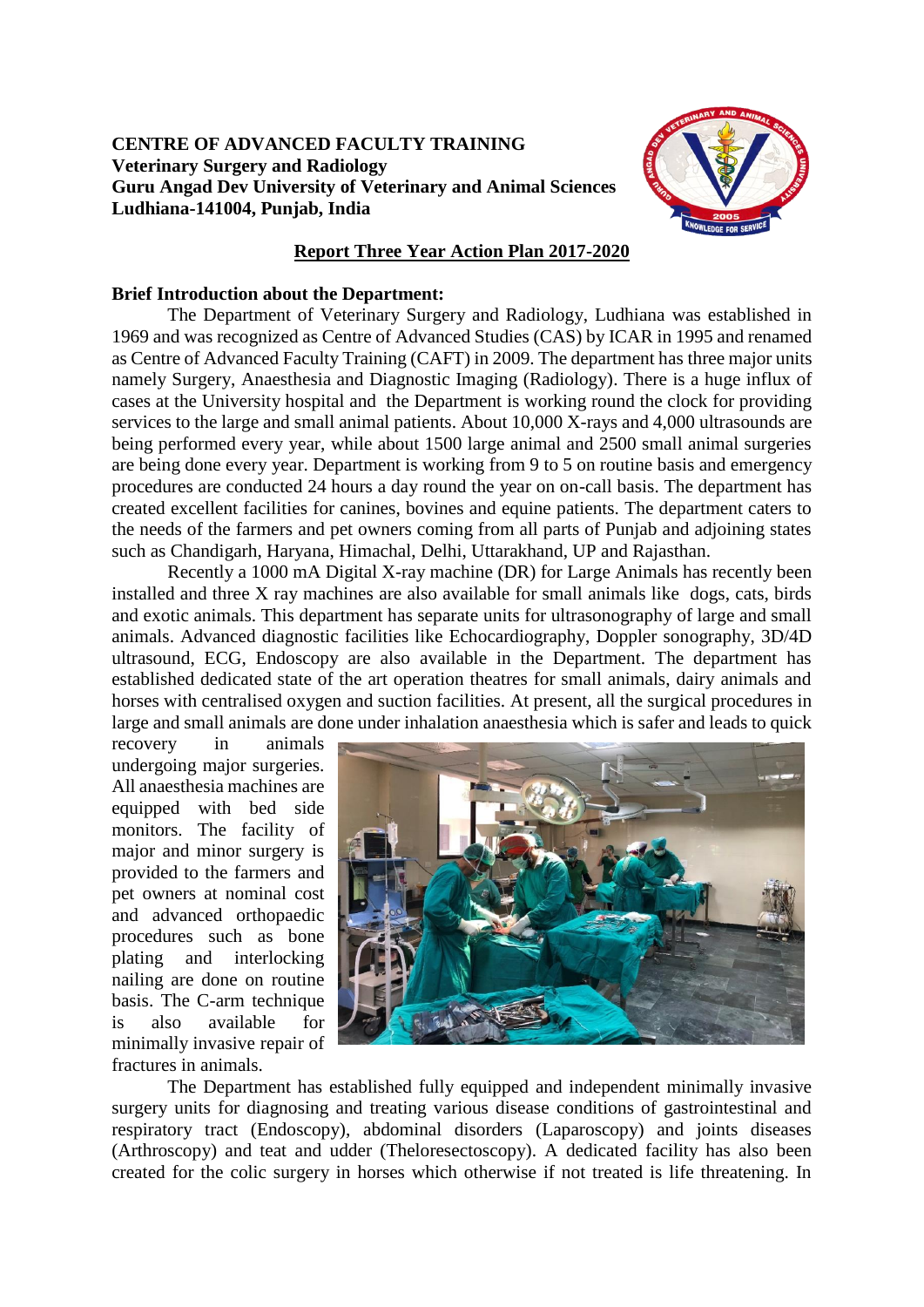### **CENTRE OF ADVANCED FACULTY TRAINING Veterinary Surgery and Radiology Guru Angad Dev University of Veterinary and Animal Sciences Ludhiana-141004, Punjab, India**



### **Report Three Year Action Plan 2017-2020**

### **Brief Introduction about the Department:**

The Department of Veterinary Surgery and Radiology, Ludhiana was established in 1969 and was recognized as Centre of Advanced Studies (CAS) by ICAR in 1995 and renamed as Centre of Advanced Faculty Training (CAFT) in 2009. The department has three major units namely Surgery, Anaesthesia and Diagnostic Imaging (Radiology). There is a huge influx of cases at the University hospital and the Department is working round the clock for providing services to the large and small animal patients. About 10,000 X-rays and 4,000 ultrasounds are being performed every year, while about 1500 large animal and 2500 small animal surgeries are being done every year. Department is working from 9 to 5 on routine basis and emergency procedures are conducted 24 hours a day round the year on on-call basis. The department has created excellent facilities for canines, bovines and equine patients. The department caters to the needs of the farmers and pet owners coming from all parts of Punjab and adjoining states such as Chandigarh, Haryana, Himachal, Delhi, Uttarakhand, UP and Rajasthan.

Recently a 1000 mA Digital X-ray machine (DR) for Large Animals has recently been installed and three X ray machines are also available for small animals like dogs, cats, birds and exotic animals. This department has separate units for ultrasonography of large and small animals. Advanced diagnostic facilities like Echocardiography, Doppler sonography, 3D/4D ultrasound, ECG, Endoscopy are also available in the Department. The department has established dedicated state of the art operation theatres for small animals, dairy animals and horses with centralised oxygen and suction facilities. At present, all the surgical procedures in large and small animals are done under inhalation anaesthesia which is safer and leads to quick

recovery in animals undergoing major surgeries. All anaesthesia machines are equipped with bed side monitors. The facility of major and minor surgery is provided to the farmers and pet owners at nominal cost and advanced orthopaedic procedures such as bone plating and interlocking nailing are done on routine basis. The C-arm technique is also available for minimally invasive repair of fractures in animals.



The Department has established fully equipped and independent minimally invasive surgery units for diagnosing and treating various disease conditions of gastrointestinal and respiratory tract (Endoscopy), abdominal disorders (Laparoscopy) and joints diseases (Arthroscopy) and teat and udder (Theloresectoscopy). A dedicated facility has also been created for the colic surgery in horses which otherwise if not treated is life threatening. In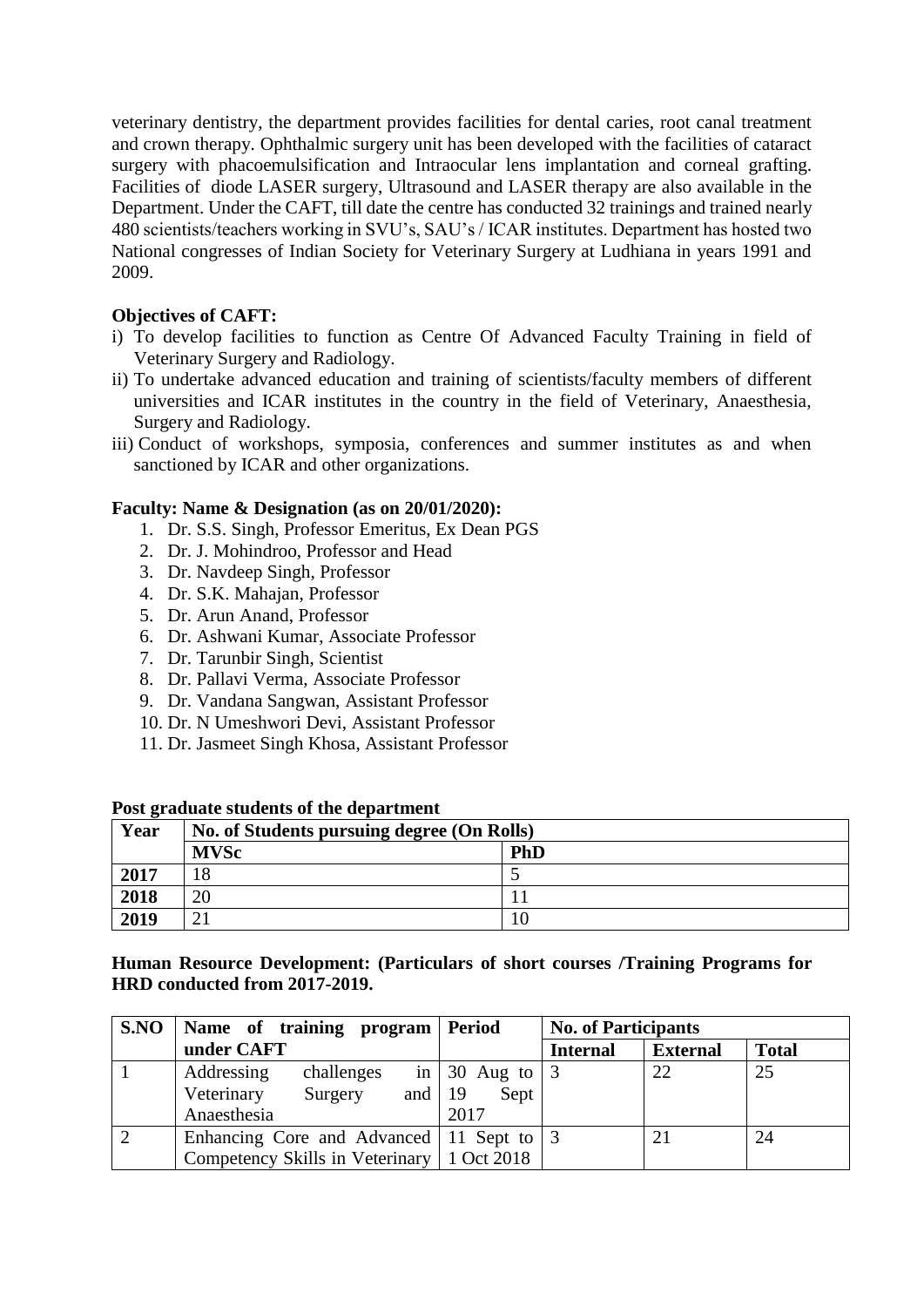veterinary dentistry, the department provides facilities for dental caries, root canal treatment and crown therapy. Ophthalmic surgery unit has been developed with the facilities of cataract surgery with phacoemulsification and Intraocular lens implantation and corneal grafting. Facilities of diode LASER surgery, Ultrasound and LASER therapy are also available in the Department. Under the CAFT, till date the centre has conducted 32 trainings and trained nearly 480 scientists/teachers working in SVU's, SAU's / ICAR institutes. Department has hosted two National congresses of Indian Society for Veterinary Surgery at Ludhiana in years 1991 and 2009.

### **Objectives of CAFT:**

- i) To develop facilities to function as Centre Of Advanced Faculty Training in field of Veterinary Surgery and Radiology.
- ii) To undertake advanced education and training of scientists/faculty members of different universities and ICAR institutes in the country in the field of Veterinary, Anaesthesia, Surgery and Radiology.
- iii) Conduct of workshops, symposia, conferences and summer institutes as and when sanctioned by ICAR and other organizations.

### **Faculty: Name & Designation (as on 20/01/2020):**

- 1. Dr. S.S. Singh, Professor Emeritus, Ex Dean PGS
- 2. Dr. J. Mohindroo, Professor and Head
- 3. Dr. Navdeep Singh, Professor
- 4. Dr. S.K. Mahajan, Professor
- 5. Dr. Arun Anand, Professor
- 6. Dr. Ashwani Kumar, Associate Professor
- 7. Dr. Tarunbir Singh, Scientist
- 8. Dr. Pallavi Verma, Associate Professor
- 9. Dr. Vandana Sangwan, Assistant Professor
- 10. Dr. N Umeshwori Devi, Assistant Professor
- 11. Dr. Jasmeet Singh Khosa, Assistant Professor

| Toot graduate stadents of the aepartment |                                            |            |  |  |  |  |
|------------------------------------------|--------------------------------------------|------------|--|--|--|--|
| Year                                     | No. of Students pursuing degree (On Rolls) |            |  |  |  |  |
|                                          | <b>MVSc</b>                                | <b>PhD</b> |  |  |  |  |
| 2017                                     |                                            |            |  |  |  |  |
| 2018                                     | 20                                         |            |  |  |  |  |
| 2019                                     |                                            |            |  |  |  |  |

#### **Post graduate students of the department**

### **Human Resource Development: (Particulars of short courses /Training Programs for HRD conducted from 2017-2019.**

| S.NO   Name of training program   Period     |                    | <b>No. of Participants</b> |                 |              |  |
|----------------------------------------------|--------------------|----------------------------|-----------------|--------------|--|
| under CAFT                                   |                    | <b>Internal</b>            | <b>External</b> | <b>Total</b> |  |
| challenges<br>Addressing                     | in   30 Aug to   3 |                            | 22              | 25           |  |
| and $ 19$<br>Veterinary<br>Surgery           | $Sept \,  $        |                            |                 |              |  |
| Anaesthesia                                  | 2017               |                            |                 |              |  |
| Enhancing Core and Advanced 11 Sept to 3     |                    |                            | 21              | 24           |  |
| Competency Skills in Veterinary   1 Oct 2018 |                    |                            |                 |              |  |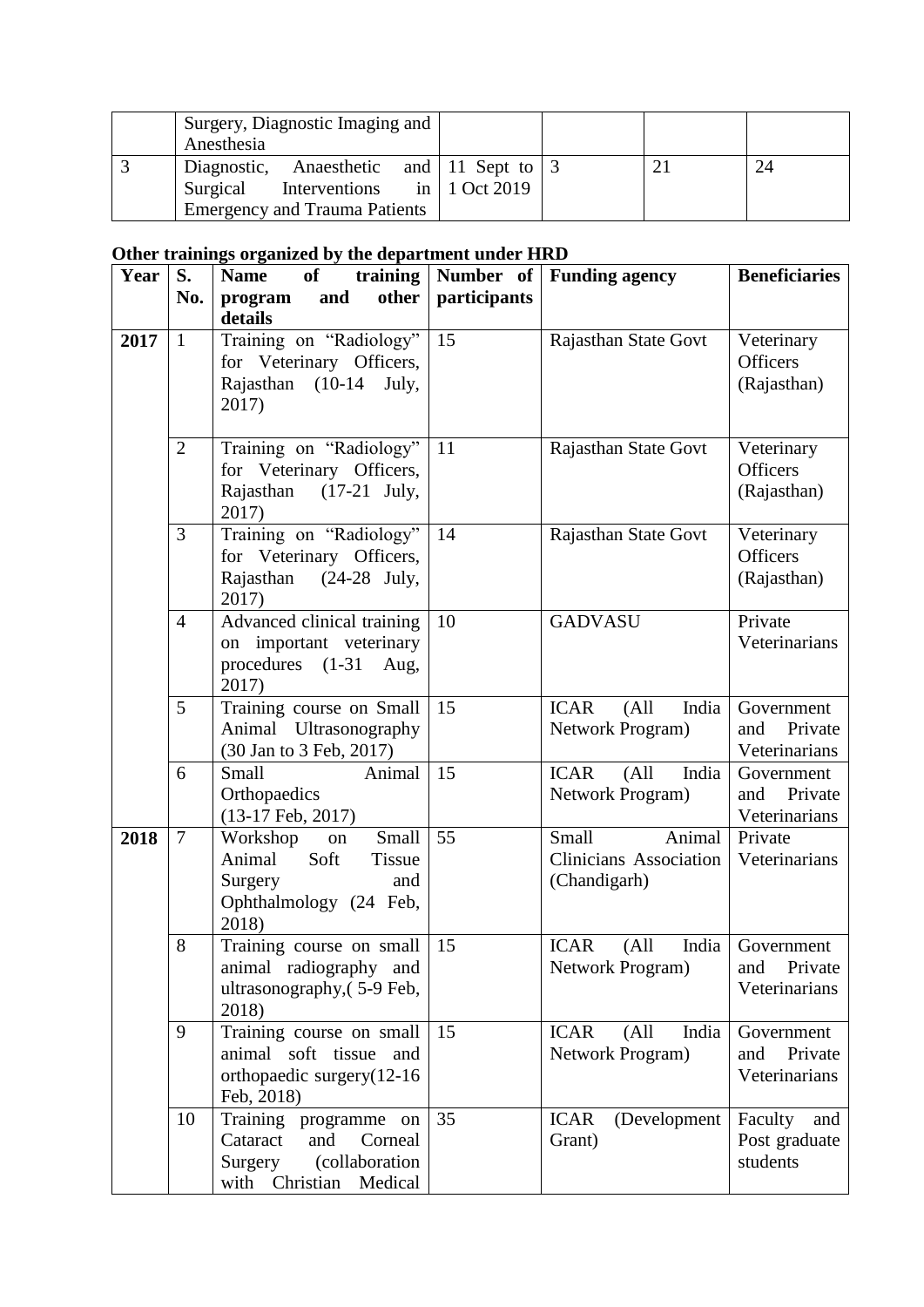| Surgery, Diagnostic Imaging and                      |  |    |
|------------------------------------------------------|--|----|
| Anesthesia                                           |  |    |
| Diagnostic, Anaesthetic and 11 Sept to $\frac{3}{2}$ |  | 24 |
| Surgical Interventions in 1 Oct 2019                 |  |    |
| <b>Emergency and Trauma Patients</b>                 |  |    |

## **Other trainings organized by the department under HRD**

| Year | S.                                                                                                                                       | training<br>of<br><b>Name</b>                                                                                   | Number of            | <b>Beneficiaries</b>                                                    |                                               |  |
|------|------------------------------------------------------------------------------------------------------------------------------------------|-----------------------------------------------------------------------------------------------------------------|----------------------|-------------------------------------------------------------------------|-----------------------------------------------|--|
|      | No.                                                                                                                                      | other<br>and<br>program                                                                                         | participants         |                                                                         |                                               |  |
| 2017 | $\mathbf{1}$                                                                                                                             | details<br>Training on "Radiology"<br>for Veterinary Officers,<br>Rajasthan (10-14)<br>July,<br>2017)           | Rajasthan State Govt | Veterinary<br><b>Officers</b><br>(Rajasthan)                            |                                               |  |
|      | $\overline{2}$                                                                                                                           | Training on "Radiology"<br>for Veterinary Officers,<br>Rajasthan<br>$(17-21$ July,<br>2017)                     | 11                   | Rajasthan State Govt                                                    | Veterinary<br><b>Officers</b><br>(Rajasthan)  |  |
|      | 3<br>Training on "Radiology"<br>14<br>Rajasthan State Govt<br>for Veterinary Officers,<br>Rajasthan (24-28 July,<br>(Rajasthan)<br>2017) |                                                                                                                 |                      |                                                                         |                                               |  |
|      | $\overline{4}$                                                                                                                           | Advanced clinical training<br>on important veterinary<br>procedures $(1-31)$<br>Aug,<br>2017)                   | 10                   | <b>GADVASU</b>                                                          | Private<br>Veterinarians                      |  |
|      | 5                                                                                                                                        | Training course on Small<br>Animal Ultrasonography<br>(30 Jan to 3 Feb, 2017)                                   | 15                   | <b>ICAR</b><br>(A <sup>1</sup> ]<br>India<br>Network Program)           | Government<br>Private<br>and<br>Veterinarians |  |
|      | Small<br>15<br><b>ICAR</b><br>6<br>Animal<br>(A <sup>1</sup> ]<br>India<br>Orthopaedics<br>Network Program)<br>$(13-17$ Feb, $2017)$     |                                                                                                                 |                      | Government<br>Private<br>and<br>Veterinarians                           |                                               |  |
| 2018 | $\overline{7}$                                                                                                                           | Workshop<br>Small<br>on<br>Animal<br>Soft<br><b>Tissue</b><br>Surgery<br>and<br>Ophthalmology (24 Feb,<br>2018) | 55                   | Animal<br><b>Small</b><br><b>Clinicians Association</b><br>(Chandigarh) | Private<br>Veterinarians                      |  |
|      | 8                                                                                                                                        | Training course on small<br>animal radiography and<br>ultrasonography, (5-9 Feb,<br>2018)                       | 15                   | <b>ICAR</b><br>(A <sup>11</sup> )<br>India<br>Network Program)          | Government<br>Private<br>and<br>Veterinarians |  |
|      | 9                                                                                                                                        | Training course on small<br>animal soft tissue and<br>orthopaedic surgery $(12-16)$<br>Feb, 2018)               | 15                   | <b>ICAR</b><br>(A <sup>11</sup> )<br>India<br>Network Program)          | Government<br>Private<br>and<br>Veterinarians |  |
|      | 10                                                                                                                                       | Training programme on<br>Cataract<br>Corneal<br>and<br>Surgery<br>(collaboration<br>Christian Medical<br>with   | 35                   | <b>ICAR</b><br>(Development<br>Grant)                                   | Faculty<br>and<br>Post graduate<br>students   |  |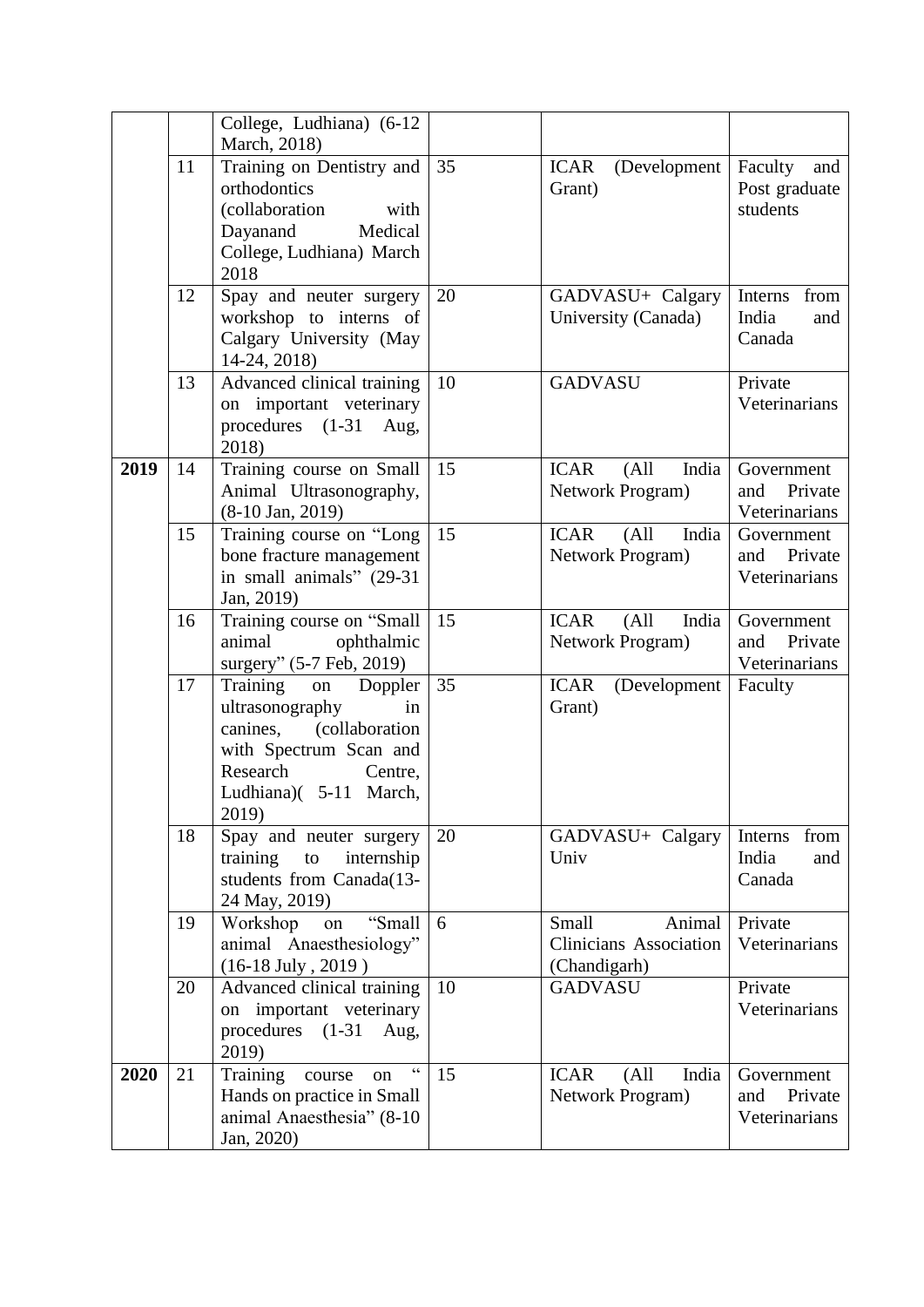|      |                                              | College, Ludhiana) (6-12                                                     |                                                  |                                            |                 |
|------|----------------------------------------------|------------------------------------------------------------------------------|--------------------------------------------------|--------------------------------------------|-----------------|
|      |                                              | March, 2018)                                                                 |                                                  |                                            |                 |
|      | 11                                           | Training on Dentistry and                                                    | 35                                               | <b>ICAR</b><br>(Development                | Faculty<br>and  |
|      |                                              | orthodontics                                                                 |                                                  | Grant)                                     | Post graduate   |
|      |                                              | (collaboration<br>with                                                       |                                                  |                                            | students        |
|      |                                              | Medical<br>Dayanand                                                          |                                                  |                                            |                 |
|      |                                              | College, Ludhiana) March                                                     |                                                  |                                            |                 |
|      |                                              | 2018                                                                         |                                                  |                                            |                 |
|      | 12                                           | Spay and neuter surgery                                                      | 20                                               | GADVASU+ Calgary                           | Interns from    |
|      |                                              | workshop to interns of                                                       |                                                  | University (Canada)                        | India<br>and    |
|      |                                              | Calgary University (May                                                      |                                                  |                                            | Canada          |
|      |                                              | 14-24, 2018)                                                                 |                                                  |                                            |                 |
|      | 13                                           | Advanced clinical training                                                   | 10                                               | <b>GADVASU</b>                             | Private         |
|      |                                              | on important veterinary                                                      |                                                  |                                            | Veterinarians   |
|      |                                              | procedures (1-31 Aug,                                                        |                                                  |                                            |                 |
|      |                                              | 2018)                                                                        |                                                  |                                            |                 |
| 2019 | 14                                           | Training course on Small                                                     | 15                                               | <b>ICAR</b><br>(A <sup>11</sup> )<br>India | Government      |
|      |                                              | Animal Ultrasonography,                                                      |                                                  | Network Program)                           | Private<br>and  |
|      |                                              | $(8-10 \text{ Jan}, 2019)$                                                   |                                                  | Veterinarians                              |                 |
|      | 15                                           | Training course on "Long<br>15<br><b>ICAR</b><br>(A <sup>11</sup> )<br>India |                                                  | Government                                 |                 |
|      | bone fracture management<br>Network Program) |                                                                              | Private<br>and                                   |                                            |                 |
|      |                                              | in small animals" (29-31                                                     |                                                  | Veterinarians                              |                 |
|      | 16                                           | Jan, 2019)<br>Training course on "Small                                      | <b>ICAR</b><br>15<br>India<br>(A <sup>11</sup> ) |                                            | Government      |
|      |                                              | animal<br>ophthalmic                                                         |                                                  | Network Program)                           | Private<br>and  |
|      |                                              | surgery" (5-7 Feb, 2019)                                                     |                                                  |                                            | Veterinarians   |
|      | 17                                           | Training<br>Doppler<br>on                                                    | 35                                               | <b>ICAR</b><br>(Development                | Faculty         |
|      |                                              | ultrasonography<br>in                                                        |                                                  | Grant)                                     |                 |
|      |                                              | (collaboration<br>canines,                                                   |                                                  |                                            |                 |
|      |                                              | with Spectrum Scan and                                                       |                                                  |                                            |                 |
|      |                                              | Research<br>Centre,                                                          |                                                  |                                            |                 |
|      |                                              | Ludhiana)( 5-11 March,                                                       |                                                  |                                            |                 |
|      |                                              | 2019)                                                                        |                                                  |                                            |                 |
|      | 18                                           | Spay and neuter surgery                                                      | 20                                               | GADVASU+ Calgary                           | from<br>Interns |
|      |                                              | internship<br>training<br>to                                                 |                                                  | Univ                                       | India<br>and    |
|      |                                              | students from Canada(13-                                                     |                                                  |                                            | Canada          |
|      |                                              | 24 May, 2019)                                                                |                                                  |                                            |                 |
|      | 19                                           | "Small<br>Workshop<br>on                                                     | 6                                                | Animal<br>Small                            | Private         |
|      |                                              | animal Anaesthesiology"                                                      |                                                  | <b>Clinicians Association</b>              | Veterinarians   |
|      |                                              | $(16-18$ July, $2019)$                                                       |                                                  | (Chandigarh)                               |                 |
|      | 20                                           | Advanced clinical training                                                   | 10                                               | <b>GADVASU</b>                             | Private         |
|      |                                              | on important veterinary                                                      |                                                  |                                            | Veterinarians   |
|      |                                              | procedures $(1-31)$<br>Aug,                                                  |                                                  |                                            |                 |
|      |                                              | 2019)                                                                        |                                                  |                                            |                 |
| 2020 | 21                                           | $\zeta \, \zeta$<br>Training<br>course<br>on                                 | 15                                               | <b>ICAR</b><br>(A <sup>11</sup> )<br>India | Government      |
|      |                                              | Hands on practice in Small                                                   |                                                  | Network Program)                           | Private<br>and  |
|      |                                              | animal Anaesthesia" (8-10                                                    |                                                  |                                            | Veterinarians   |
|      |                                              | Jan, 2020)                                                                   |                                                  |                                            |                 |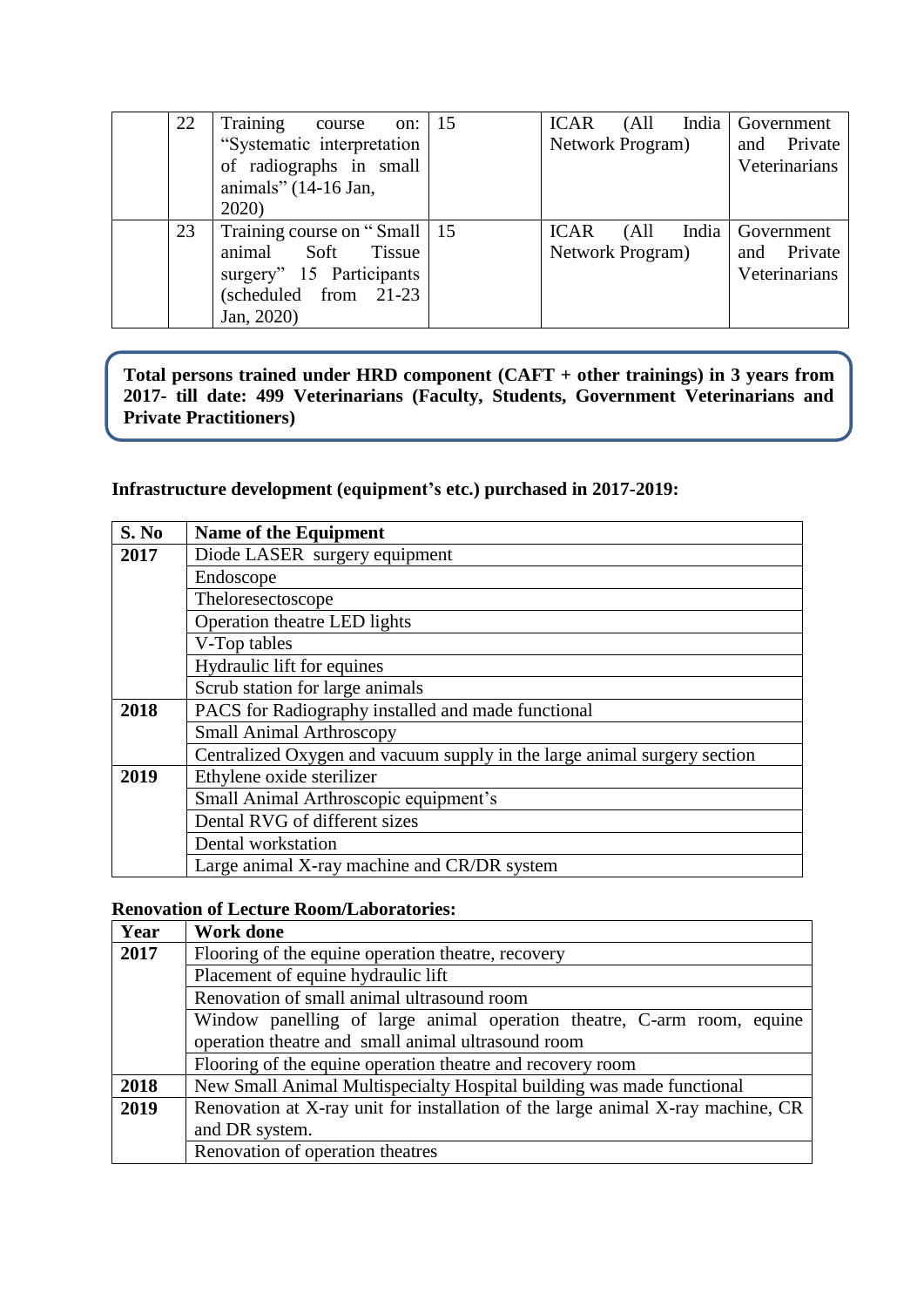| 22 | Training<br>on:<br>course                                                                                                | <sup>15</sup> | <b>ICAR</b><br>(All                                           | India Government                                    |
|----|--------------------------------------------------------------------------------------------------------------------------|---------------|---------------------------------------------------------------|-----------------------------------------------------|
|    | "Systematic interpretation"                                                                                              |               | Network Program)                                              | Private<br>and                                      |
|    | of radiographs in small                                                                                                  |               |                                                               | Veterinarians                                       |
|    | animals" (14-16 Jan,                                                                                                     |               |                                                               |                                                     |
|    | 2020)                                                                                                                    |               |                                                               |                                                     |
| 23 | Training course on "Small   15<br>animal Soft Tissue<br>surgery" 15 Participants<br>(scheduled from 21-23)<br>Jan, 2020) |               | <b>ICAR</b><br>(A <sup>II</sup> )<br><b>Network Program</b> ) | India Government<br>Private<br>and<br>Veterinarians |

**Total persons trained under HRD component (CAFT + other trainings) in 3 years from 2017- till date: 499 Veterinarians (Faculty, Students, Government Veterinarians and Private Practitioners)**

**Infrastructure development (equipment's etc.) purchased in 2017-2019:** 

| S. No | Name of the Equipment                                                    |  |  |  |  |
|-------|--------------------------------------------------------------------------|--|--|--|--|
| 2017  | Diode LASER surgery equipment                                            |  |  |  |  |
|       | Endoscope                                                                |  |  |  |  |
|       | Theloresectoscope                                                        |  |  |  |  |
|       | Operation theatre LED lights                                             |  |  |  |  |
|       | V-Top tables                                                             |  |  |  |  |
|       | Hydraulic lift for equines                                               |  |  |  |  |
|       | Scrub station for large animals                                          |  |  |  |  |
| 2018  | PACS for Radiography installed and made functional                       |  |  |  |  |
|       | <b>Small Animal Arthroscopy</b>                                          |  |  |  |  |
|       | Centralized Oxygen and vacuum supply in the large animal surgery section |  |  |  |  |
| 2019  | Ethylene oxide sterilizer                                                |  |  |  |  |
|       | Small Animal Arthroscopic equipment's                                    |  |  |  |  |
|       | Dental RVG of different sizes                                            |  |  |  |  |
|       | Dental workstation                                                       |  |  |  |  |
|       | Large animal X-ray machine and CR/DR system                              |  |  |  |  |

### **Renovation of Lecture Room/Laboratories:**

| Year | <b>Work done</b>                                                                |  |  |  |  |  |  |  |
|------|---------------------------------------------------------------------------------|--|--|--|--|--|--|--|
| 2017 | Flooring of the equine operation theatre, recovery                              |  |  |  |  |  |  |  |
|      | Placement of equine hydraulic lift                                              |  |  |  |  |  |  |  |
|      | Renovation of small animal ultrasound room                                      |  |  |  |  |  |  |  |
|      | Window panelling of large animal operation theatre, C-arm room, equine          |  |  |  |  |  |  |  |
|      | operation theatre and small animal ultrasound room                              |  |  |  |  |  |  |  |
|      | Flooring of the equine operation theatre and recovery room                      |  |  |  |  |  |  |  |
| 2018 | New Small Animal Multispecialty Hospital building was made functional           |  |  |  |  |  |  |  |
| 2019 | Renovation at X-ray unit for installation of the large animal X-ray machine, CR |  |  |  |  |  |  |  |
|      | and DR system.                                                                  |  |  |  |  |  |  |  |
|      | Renovation of operation theatres                                                |  |  |  |  |  |  |  |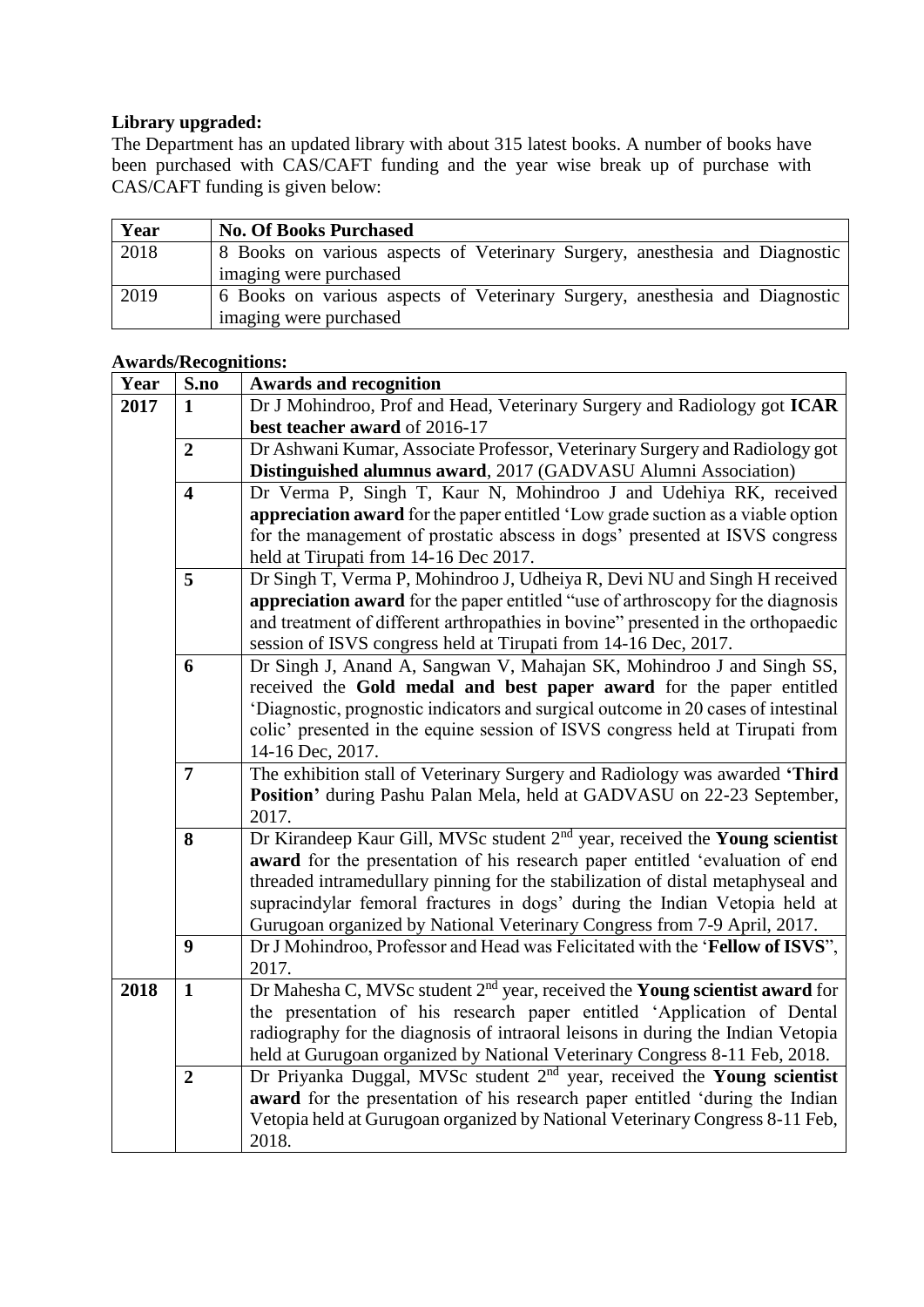### **Library upgraded:**

The Department has an updated library with about 315 latest books. A number of books have been purchased with CAS/CAFT funding and the year wise break up of purchase with CAS/CAFT funding is given below:

| Year | <b>No. Of Books Purchased</b>                                                |
|------|------------------------------------------------------------------------------|
| 2018 | 8 Books on various aspects of Veterinary Surgery, and sthesia and Diagnostic |
|      | imaging were purchased                                                       |
| 2019 | 6 Books on various aspects of Veterinary Surgery, anesthesia and Diagnostic  |
|      | imaging were purchased                                                       |

### **Awards/Recognitions:**

| Year | S.no                    | <b>Awards and recognition</b>                                                           |
|------|-------------------------|-----------------------------------------------------------------------------------------|
| 2017 | $\mathbf{1}$            | Dr J Mohindroo, Prof and Head, Veterinary Surgery and Radiology got ICAR                |
|      |                         | best teacher award of 2016-17                                                           |
|      | $\overline{2}$          | Dr Ashwani Kumar, Associate Professor, Veterinary Surgery and Radiology got             |
|      |                         | Distinguished alumnus award, 2017 (GADVASU Alumni Association)                          |
|      | $\overline{\mathbf{4}}$ | Dr Verma P, Singh T, Kaur N, Mohindroo J and Udehiya RK, received                       |
|      |                         | appreciation award for the paper entitled 'Low grade suction as a viable option         |
|      |                         | for the management of prostatic abscess in dogs' presented at ISVS congress             |
|      |                         | held at Tirupati from 14-16 Dec 2017.                                                   |
|      | 5                       | Dr Singh T, Verma P, Mohindroo J, Udheiya R, Devi NU and Singh H received               |
|      |                         | appreciation award for the paper entitled "use of arthroscopy for the diagnosis         |
|      |                         | and treatment of different arthropathies in bovine" presented in the orthopaedic        |
|      |                         | session of ISVS congress held at Tirupati from 14-16 Dec, 2017.                         |
|      | 6                       | Dr Singh J, Anand A, Sangwan V, Mahajan SK, Mohindroo J and Singh SS,                   |
|      |                         | received the Gold medal and best paper award for the paper entitled                     |
|      |                         | 'Diagnostic, prognostic indicators and surgical outcome in 20 cases of intestinal       |
|      |                         | colic' presented in the equine session of ISVS congress held at Tirupati from           |
|      |                         | 14-16 Dec, 2017.                                                                        |
|      | $\overline{7}$          | The exhibition stall of Veterinary Surgery and Radiology was awarded 'Third             |
|      |                         | Position' during Pashu Palan Mela, held at GADVASU on 22-23 September,                  |
|      |                         | 2017.                                                                                   |
|      | 8                       | Dr Kirandeep Kaur Gill, MVSc student 2 <sup>nd</sup> year, received the Young scientist |
|      |                         | award for the presentation of his research paper entitled 'evaluation of end            |
|      |                         | threaded intramedullary pinning for the stabilization of distal metaphyseal and         |
|      |                         | supracindylar femoral fractures in dogs' during the Indian Vetopia held at              |
|      |                         | Gurugoan organized by National Veterinary Congress from 7-9 April, 2017.                |
|      | 9                       | Dr J Mohindroo, Professor and Head was Felicitated with the 'Fellow of ISVS",           |
|      |                         | 2017.                                                                                   |
| 2018 | $\mathbf{1}$            | Dr Mahesha C, MVSc student 2 <sup>nd</sup> year, received the Young scientist award for |
|      |                         | the presentation of his research paper entitled 'Application of Dental                  |
|      |                         | radiography for the diagnosis of intraoral leisons in during the Indian Vetopia         |
|      |                         | held at Gurugoan organized by National Veterinary Congress 8-11 Feb, 2018.              |
|      | $\overline{2}$          | Dr Priyanka Duggal, MVSc student 2 <sup>nd</sup> year, received the Young scientist     |
|      |                         | award for the presentation of his research paper entitled 'during the Indian            |
|      |                         | Vetopia held at Gurugoan organized by National Veterinary Congress 8-11 Feb,            |
|      |                         | 2018.                                                                                   |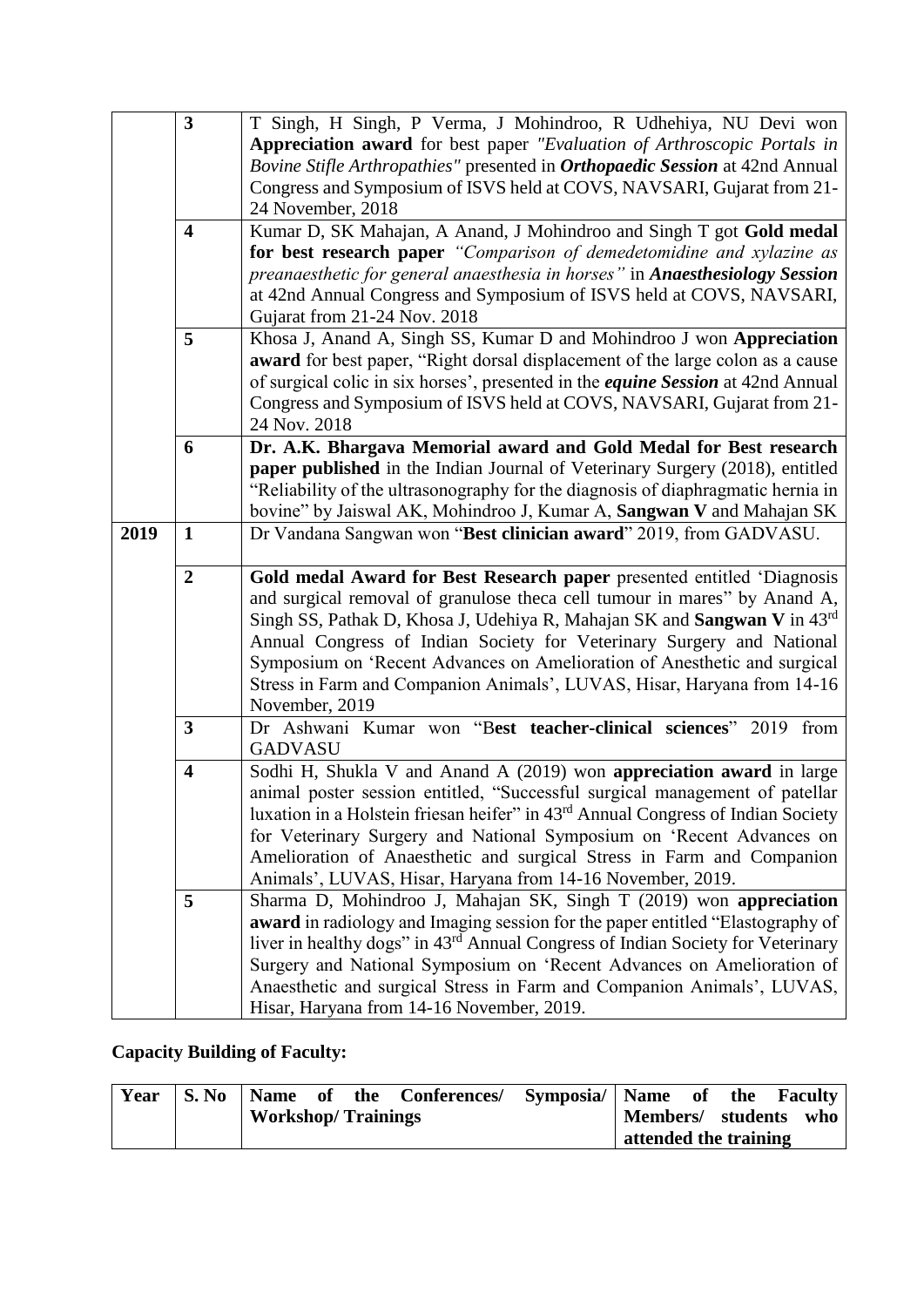|      | $\overline{\mathbf{3}}$ | T Singh, H Singh, P Verma, J Mohindroo, R Udhehiya, NU Devi won                                                     |
|------|-------------------------|---------------------------------------------------------------------------------------------------------------------|
|      |                         | Appreciation award for best paper "Evaluation of Arthroscopic Portals in                                            |
|      |                         | Bovine Stifle Arthropathies" presented in Orthopaedic Session at 42nd Annual                                        |
|      |                         | Congress and Symposium of ISVS held at COVS, NAVSARI, Gujarat from 21-                                              |
|      |                         | 24 November, 2018                                                                                                   |
|      | $\overline{\mathbf{4}}$ | Kumar D, SK Mahajan, A Anand, J Mohindroo and Singh T got Gold medal                                                |
|      |                         | for best research paper "Comparison of demedetomidine and xylazine as                                               |
|      |                         | preanaesthetic for general anaesthesia in horses" in Anaesthesiology Session                                        |
|      |                         | at 42nd Annual Congress and Symposium of ISVS held at COVS, NAVSARI,                                                |
|      |                         | Gujarat from 21-24 Nov. 2018                                                                                        |
|      | 5                       | Khosa J, Anand A, Singh SS, Kumar D and Mohindroo J won Appreciation                                                |
|      |                         | award for best paper, "Right dorsal displacement of the large colon as a cause                                      |
|      |                         | of surgical colic in six horses', presented in the <i>equine Session</i> at 42nd Annual                             |
|      |                         | Congress and Symposium of ISVS held at COVS, NAVSARI, Gujarat from 21-                                              |
|      |                         | 24 Nov. 2018                                                                                                        |
|      | 6                       | Dr. A.K. Bhargava Memorial award and Gold Medal for Best research                                                   |
|      |                         | paper published in the Indian Journal of Veterinary Surgery (2018), entitled                                        |
|      |                         | "Reliability of the ultrasonography for the diagnosis of diaphragmatic hernia in                                    |
|      |                         | bovine" by Jaiswal AK, Mohindroo J, Kumar A, Sangwan V and Mahajan SK                                               |
| 2019 | $\mathbf{1}$            | Dr Vandana Sangwan won "Best clinician award" 2019, from GADVASU.                                                   |
|      |                         |                                                                                                                     |
|      |                         |                                                                                                                     |
|      | $\boldsymbol{2}$        | Gold medal Award for Best Research paper presented entitled 'Diagnosis                                              |
|      |                         | and surgical removal of granulose theca cell tumour in mares" by Anand A,                                           |
|      |                         | Singh SS, Pathak D, Khosa J, Udehiya R, Mahajan SK and Sangwan V in 43rd                                            |
|      |                         | Annual Congress of Indian Society for Veterinary Surgery and National                                               |
|      |                         | Symposium on 'Recent Advances on Amelioration of Anesthetic and surgical                                            |
|      |                         | Stress in Farm and Companion Animals', LUVAS, Hisar, Haryana from 14-16                                             |
|      |                         | November, 2019                                                                                                      |
|      | $\mathbf{3}$            | Dr Ashwani Kumar won "Best teacher-clinical sciences" 2019 from                                                     |
|      |                         | <b>GADVASU</b>                                                                                                      |
|      | $\overline{\mathbf{4}}$ | Sodhi H, Shukla V and Anand A (2019) won appreciation award in large                                                |
|      |                         | animal poster session entitled, "Successful surgical management of patellar                                         |
|      |                         | luxation in a Holstein friesan heifer" in 43 <sup>rd</sup> Annual Congress of Indian Society                        |
|      |                         | for Veterinary Surgery and National Symposium on 'Recent Advances on                                                |
|      |                         | Amelioration of Anaesthetic and surgical Stress in Farm and Companion                                               |
|      |                         | Animals', LUVAS, Hisar, Haryana from 14-16 November, 2019.                                                          |
|      | 5                       | Sharma D, Mohindroo J, Mahajan SK, Singh T (2019) won appreciation                                                  |
|      |                         | award in radiology and Imaging session for the paper entitled "Elastography of                                      |
|      |                         | liver in healthy dogs" in 43 <sup>rd</sup> Annual Congress of Indian Society for Veterinary                         |
|      |                         | Surgery and National Symposium on 'Recent Advances on Amelioration of                                               |
|      |                         | Anaesthetic and surgical Stress in Farm and Companion Animals', LUVAS,<br>Hisar, Haryana from 14-16 November, 2019. |

# **Capacity Building of Faculty:**

| Year $\vert$ S. No |                           |  |  | Name of the Conferences/ Symposia/ Name of the Faculty |                       |                   |  |       |
|--------------------|---------------------------|--|--|--------------------------------------------------------|-----------------------|-------------------|--|-------|
|                    | <b>Workshop/Trainings</b> |  |  |                                                        |                       | Members/ students |  | - who |
|                    |                           |  |  |                                                        | attended the training |                   |  |       |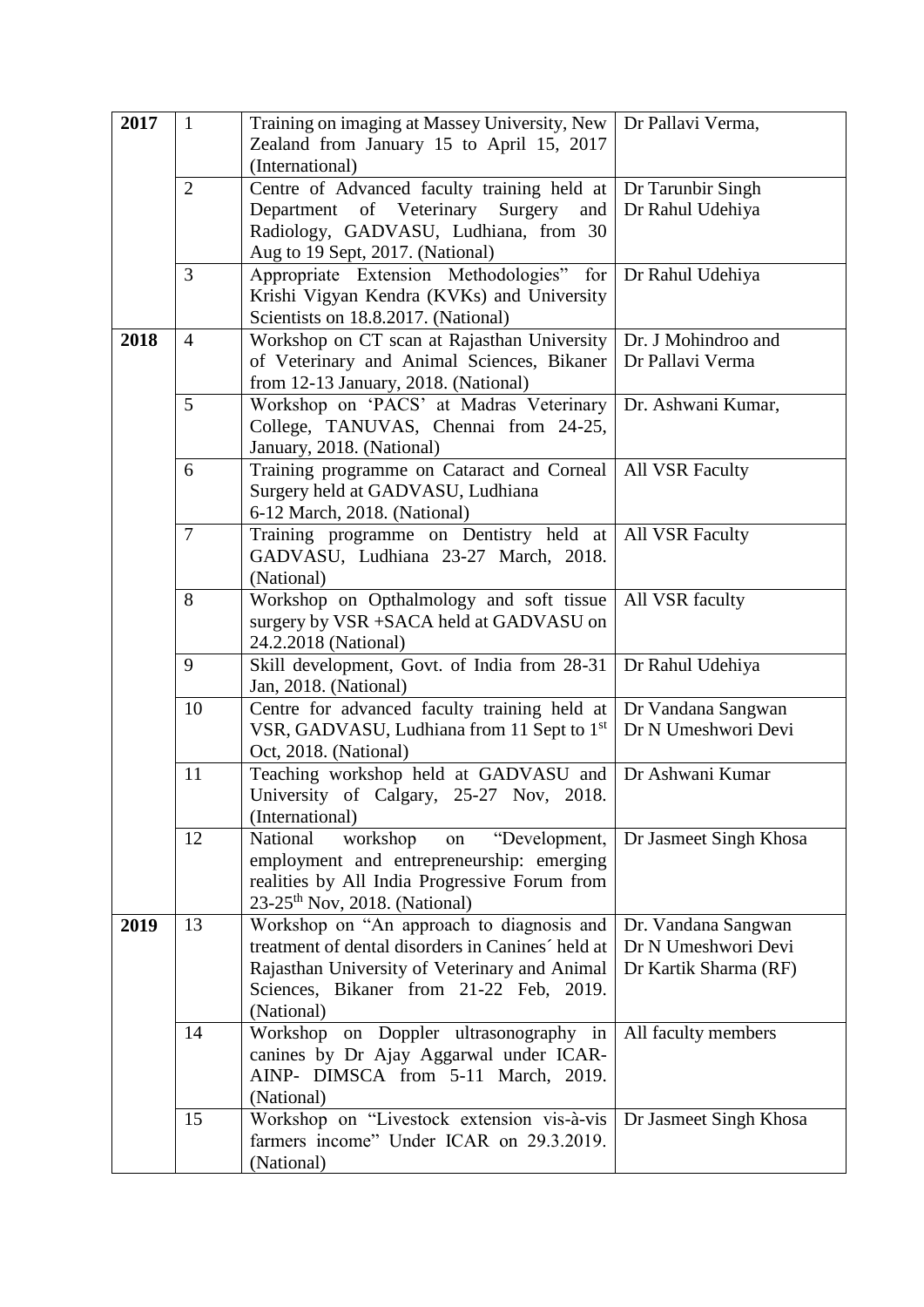| 2017 | $\mathbf{1}$                               | Training on imaging at Massey University, New                                              | Dr Pallavi Verma,                     |
|------|--------------------------------------------|--------------------------------------------------------------------------------------------|---------------------------------------|
|      |                                            | Zealand from January 15 to April 15, 2017                                                  |                                       |
|      | $\overline{2}$                             | (International)                                                                            |                                       |
|      |                                            | Centre of Advanced faculty training held at<br>Department of Veterinary Surgery<br>and     | Dr Tarunbir Singh<br>Dr Rahul Udehiya |
|      |                                            | Radiology, GADVASU, Ludhiana, from 30                                                      |                                       |
|      |                                            | Aug to 19 Sept, 2017. (National)                                                           |                                       |
|      | 3                                          | Appropriate Extension Methodologies"<br>for                                                | Dr Rahul Udehiya                      |
|      |                                            | Krishi Vigyan Kendra (KVKs) and University                                                 |                                       |
|      |                                            | Scientists on 18.8.2017. (National)                                                        |                                       |
| 2018 | $\overline{4}$                             | Workshop on CT scan at Rajasthan University                                                | Dr. J Mohindroo and                   |
|      | of Veterinary and Animal Sciences, Bikaner |                                                                                            | Dr Pallavi Verma                      |
|      |                                            | from 12-13 January, 2018. (National)                                                       |                                       |
|      | 5                                          | Workshop on 'PACS' at Madras Veterinary                                                    | Dr. Ashwani Kumar,                    |
|      |                                            | College, TANUVAS, Chennai from 24-25,                                                      |                                       |
|      |                                            | January, 2018. (National)                                                                  |                                       |
|      | 6                                          | Training programme on Cataract and Corneal                                                 | All VSR Faculty                       |
|      |                                            | Surgery held at GADVASU, Ludhiana                                                          |                                       |
|      | $\overline{7}$                             | 6-12 March, 2018. (National)                                                               |                                       |
|      |                                            | Training programme on Dentistry held at<br>GADVASU, Ludhiana 23-27 March, 2018.            | <b>All VSR Faculty</b>                |
|      |                                            | (National)                                                                                 |                                       |
|      | 8                                          | Workshop on Opthalmology and soft tissue                                                   | All VSR faculty                       |
|      |                                            | surgery by VSR +SACA held at GADVASU on                                                    |                                       |
|      |                                            | 24.2.2018 (National)                                                                       |                                       |
|      | 9                                          | Skill development, Govt. of India from 28-31                                               | Dr Rahul Udehiya                      |
|      |                                            | Jan, 2018. (National)                                                                      |                                       |
|      | 10                                         | Centre for advanced faculty training held at                                               | Dr Vandana Sangwan                    |
|      |                                            | VSR, GADVASU, Ludhiana from 11 Sept to 1st                                                 | Dr N Umeshwori Devi                   |
|      |                                            | Oct, 2018. (National)                                                                      |                                       |
|      | 11                                         | Teaching workshop held at GADVASU and                                                      | Dr Ashwani Kumar                      |
|      |                                            | University of Calgary, 25-27 Nov, 2018.                                                    |                                       |
|      |                                            | (International)<br>workshop<br>"Development,<br>National<br>on                             |                                       |
|      | 12                                         | Dr Jasmeet Singh Khosa                                                                     |                                       |
|      |                                            | employment and entrepreneurship: emerging<br>realities by All India Progressive Forum from |                                       |
|      |                                            | $23-25$ <sup>th</sup> Nov, 2018. (National)                                                |                                       |
| 2019 | 13                                         | Workshop on "An approach to diagnosis and                                                  | Dr. Vandana Sangwan                   |
|      |                                            | treatment of dental disorders in Canines' held at                                          | Dr N Umeshwori Devi                   |
|      |                                            | Rajasthan University of Veterinary and Animal                                              | Dr Kartik Sharma (RF)                 |
|      |                                            | Sciences, Bikaner from 21-22 Feb, 2019.                                                    |                                       |
|      |                                            | (National)                                                                                 |                                       |
|      | 14                                         | Workshop on Doppler ultrasonography in                                                     | All faculty members                   |
|      |                                            | canines by Dr Ajay Aggarwal under ICAR-                                                    |                                       |
|      |                                            | AINP- DIMSCA from 5-11 March, 2019.                                                        |                                       |
|      |                                            | (National)                                                                                 |                                       |
|      | 15                                         | Workshop on "Livestock extension vis-à-vis                                                 | Dr Jasmeet Singh Khosa                |
|      |                                            | farmers income" Under ICAR on 29.3.2019.                                                   |                                       |
|      |                                            | (National)                                                                                 |                                       |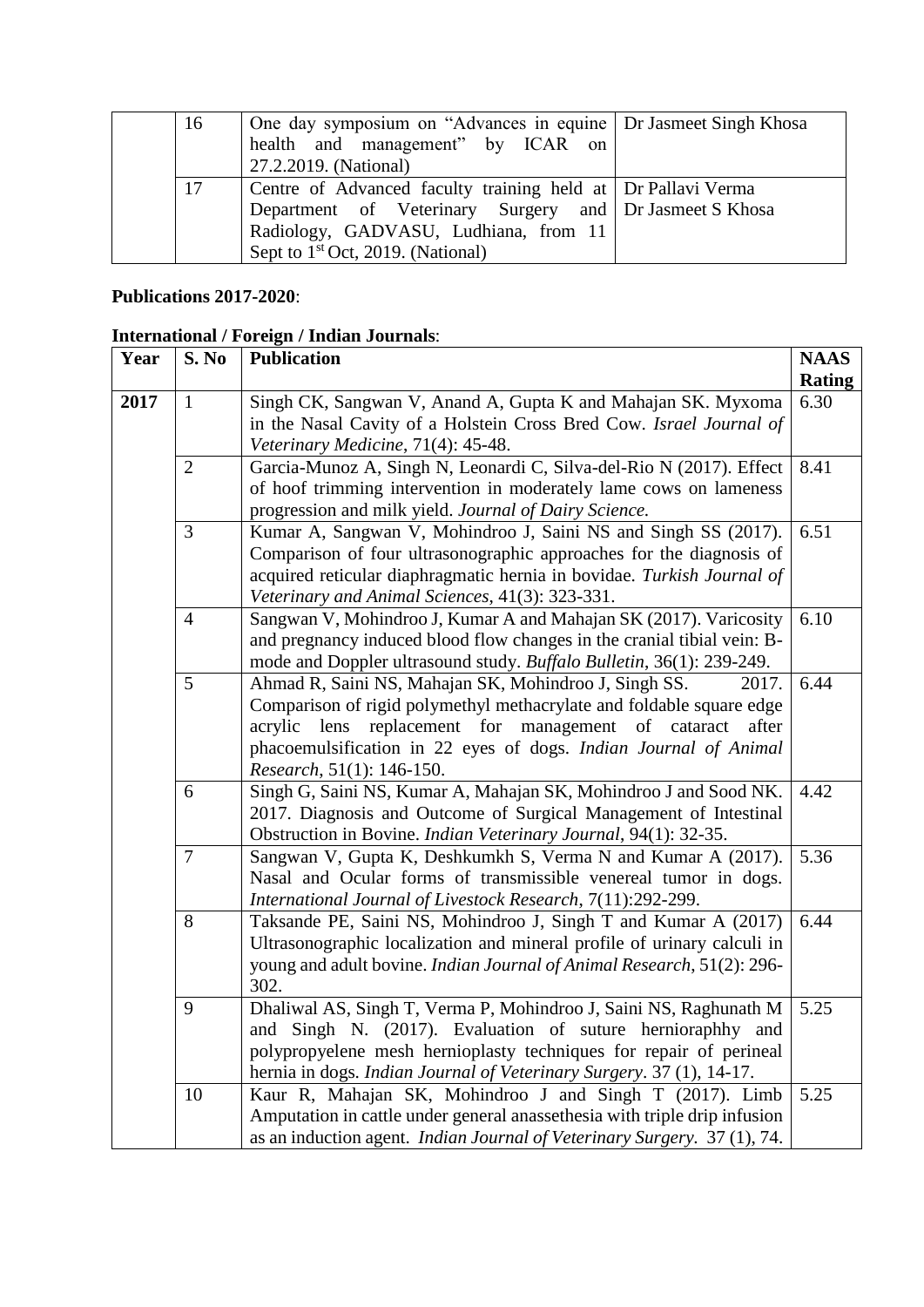| 16 | One day symposium on "Advances in equine   Dr Jasmeet Singh Khosa |  |
|----|-------------------------------------------------------------------|--|
|    | health and management" by ICAR on                                 |  |
|    | 27.2.2019. (National)                                             |  |
| 17 | Centre of Advanced faculty training held at Dr Pallavi Verma      |  |
|    | Department of Veterinary Surgery and Dr Jasmeet S Khosa           |  |
|    | Radiology, GADVASU, Ludhiana, from 11                             |  |
|    | Sept to $1st$ Oct, 2019. (National)                               |  |

### **Publications 2017-2020**:

## **International / Foreign / Indian Journals**:

| Year | S. No                                                                                                                            | <b>Publication</b>                                                        |      |  |
|------|----------------------------------------------------------------------------------------------------------------------------------|---------------------------------------------------------------------------|------|--|
|      |                                                                                                                                  |                                                                           |      |  |
| 2017 | $\mathbf{1}$                                                                                                                     | Singh CK, Sangwan V, Anand A, Gupta K and Mahajan SK. Myxoma              | 6.30 |  |
|      |                                                                                                                                  | in the Nasal Cavity of a Holstein Cross Bred Cow. Israel Journal of       |      |  |
|      |                                                                                                                                  | Veterinary Medicine, 71(4): 45-48.                                        |      |  |
|      | $\overline{2}$                                                                                                                   | Garcia-Munoz A, Singh N, Leonardi C, Silva-del-Rio N (2017). Effect       | 8.41 |  |
|      | of hoof trimming intervention in moderately lame cows on lameness<br>progression and milk yield. Journal of Dairy Science.       |                                                                           |      |  |
|      |                                                                                                                                  |                                                                           |      |  |
|      | $\overline{3}$                                                                                                                   | Kumar A, Sangwan V, Mohindroo J, Saini NS and Singh SS (2017).            | 6.51 |  |
|      |                                                                                                                                  | Comparison of four ultrasonographic approaches for the diagnosis of       |      |  |
|      |                                                                                                                                  | acquired reticular diaphragmatic hernia in bovidae. Turkish Journal of    |      |  |
|      |                                                                                                                                  | Veterinary and Animal Sciences, 41(3): 323-331.                           |      |  |
|      | $\overline{4}$                                                                                                                   | Sangwan V, Mohindroo J, Kumar A and Mahajan SK (2017). Varicosity         | 6.10 |  |
|      |                                                                                                                                  | and pregnancy induced blood flow changes in the cranial tibial vein: B-   |      |  |
|      |                                                                                                                                  | mode and Doppler ultrasound study. Buffalo Bulletin, 36(1): 239-249.      |      |  |
|      | 5                                                                                                                                | Ahmad R, Saini NS, Mahajan SK, Mohindroo J, Singh SS.<br>2017.            | 6.44 |  |
|      |                                                                                                                                  | Comparison of rigid polymethyl methacrylate and foldable square edge      |      |  |
|      |                                                                                                                                  | lens<br>replacement for management of cataract<br>acrylic<br>after        |      |  |
|      | phacoemulsification in 22 eyes of dogs. Indian Journal of Animal                                                                 |                                                                           |      |  |
|      | Research, 51(1): 146-150.<br>Singh G, Saini NS, Kumar A, Mahajan SK, Mohindroo J and Sood NK.<br>6                               |                                                                           |      |  |
|      |                                                                                                                                  |                                                                           | 4.42 |  |
|      |                                                                                                                                  | 2017. Diagnosis and Outcome of Surgical Management of Intestinal          |      |  |
|      |                                                                                                                                  | Obstruction in Bovine. Indian Veterinary Journal, 94(1): 32-35.           |      |  |
|      | $\overline{7}$<br>Sangwan V, Gupta K, Deshkumkh S, Verma N and Kumar A (2017).                                                   |                                                                           | 5.36 |  |
|      |                                                                                                                                  | Nasal and Ocular forms of transmissible venereal tumor in dogs.           |      |  |
|      | International Journal of Livestock Research, 7(11):292-299.                                                                      |                                                                           |      |  |
|      | 8                                                                                                                                | Taksande PE, Saini NS, Mohindroo J, Singh T and Kumar A (2017)            | 6.44 |  |
|      |                                                                                                                                  | Ultrasonographic localization and mineral profile of urinary calculi in   |      |  |
|      | young and adult bovine. Indian Journal of Animal Research, 51(2): 296-<br>302.                                                   |                                                                           |      |  |
|      | 9                                                                                                                                | Dhaliwal AS, Singh T, Verma P, Mohindroo J, Saini NS, Raghunath M         | 5.25 |  |
|      | and Singh N. (2017). Evaluation of suture hernioraphhy and<br>polypropyelene mesh hernioplasty techniques for repair of perineal |                                                                           |      |  |
|      |                                                                                                                                  |                                                                           |      |  |
|      | hernia in dogs. Indian Journal of Veterinary Surgery. 37 (1), 14-17.                                                             |                                                                           |      |  |
|      | 10                                                                                                                               | Kaur R, Mahajan SK, Mohindroo J and Singh T (2017). Limb                  | 5.25 |  |
|      |                                                                                                                                  | Amputation in cattle under general anassethesia with triple drip infusion |      |  |
|      |                                                                                                                                  | as an induction agent. Indian Journal of Veterinary Surgery. 37 (1), 74.  |      |  |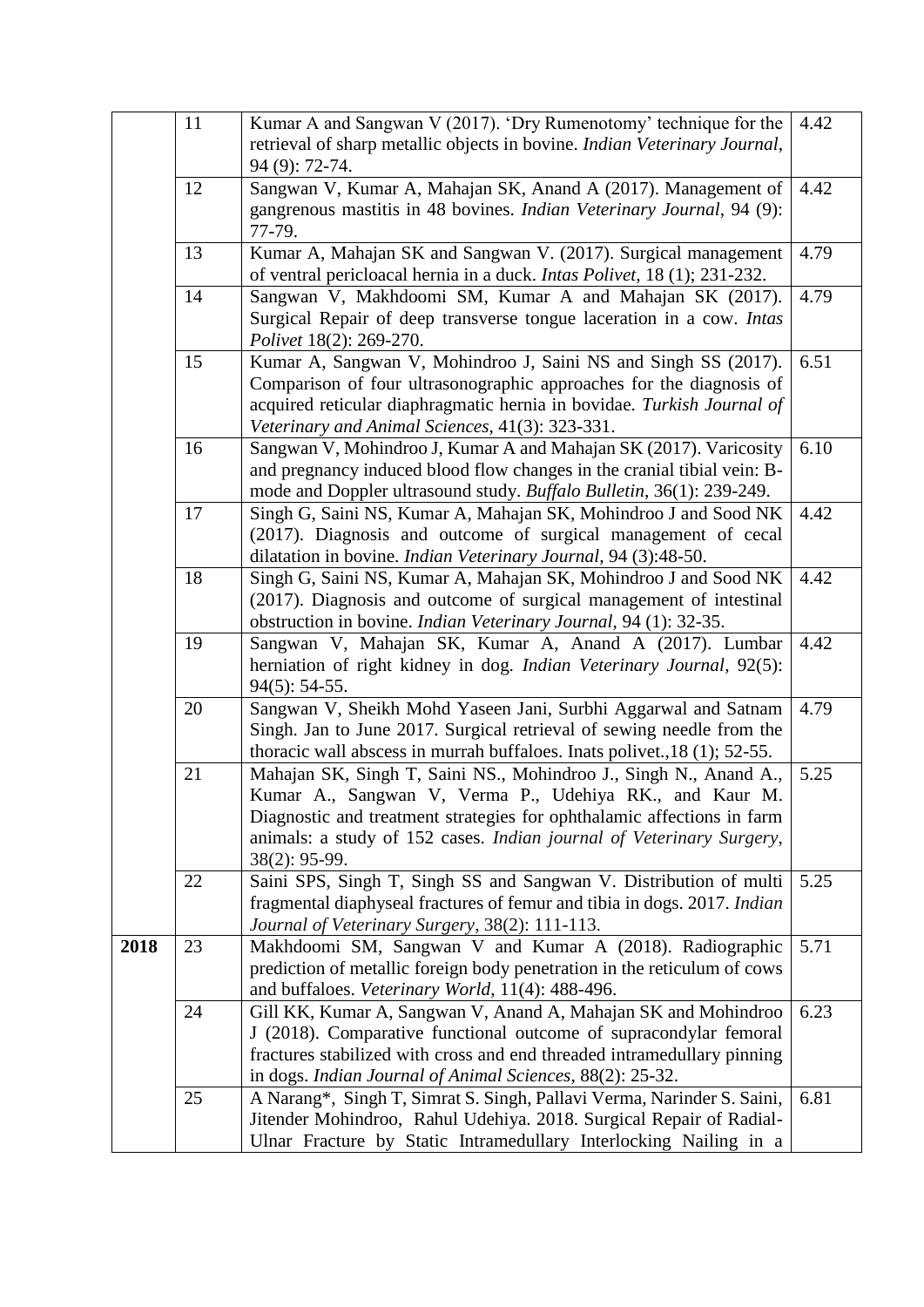|      | 11                                                                      | Kumar A and Sangwan V (2017). 'Dry Rumenotomy' technique for the<br>4.42                                                                      |      |  |
|------|-------------------------------------------------------------------------|-----------------------------------------------------------------------------------------------------------------------------------------------|------|--|
|      |                                                                         | retrieval of sharp metallic objects in bovine. Indian Veterinary Journal,                                                                     |      |  |
|      |                                                                         | 94 (9): 72-74.                                                                                                                                |      |  |
|      | 12                                                                      | Sangwan V, Kumar A, Mahajan SK, Anand A (2017). Management of                                                                                 | 4.42 |  |
|      |                                                                         | gangrenous mastitis in 48 bovines. Indian Veterinary Journal, 94 (9):                                                                         |      |  |
|      |                                                                         | 77-79.                                                                                                                                        |      |  |
|      | 13                                                                      | Kumar A, Mahajan SK and Sangwan V. (2017). Surgical management                                                                                | 4.79 |  |
|      |                                                                         | of ventral pericloacal hernia in a duck. Intas Polivet, 18 (1); 231-232.                                                                      |      |  |
|      | 14                                                                      | Sangwan V, Makhdoomi SM, Kumar A and Mahajan SK (2017).                                                                                       | 4.79 |  |
|      |                                                                         | Surgical Repair of deep transverse tongue laceration in a cow. Intas                                                                          |      |  |
|      |                                                                         | Polivet 18(2): 269-270.                                                                                                                       |      |  |
|      | 15                                                                      | Kumar A, Sangwan V, Mohindroo J, Saini NS and Singh SS (2017).                                                                                | 6.51 |  |
|      |                                                                         | Comparison of four ultrasonographic approaches for the diagnosis of                                                                           |      |  |
|      | acquired reticular diaphragmatic hernia in bovidae. Turkish Journal of  |                                                                                                                                               |      |  |
|      |                                                                         | Veterinary and Animal Sciences, 41(3): 323-331.                                                                                               |      |  |
|      | 16                                                                      | Sangwan V, Mohindroo J, Kumar A and Mahajan SK (2017). Varicosity                                                                             | 6.10 |  |
|      |                                                                         | and pregnancy induced blood flow changes in the cranial tibial vein: B-                                                                       |      |  |
|      |                                                                         | mode and Doppler ultrasound study. Buffalo Bulletin, 36(1): 239-249.                                                                          |      |  |
|      | 17                                                                      | Singh G, Saini NS, Kumar A, Mahajan SK, Mohindroo J and Sood NK                                                                               | 4.42 |  |
|      |                                                                         | (2017). Diagnosis and outcome of surgical management of cecal                                                                                 |      |  |
|      |                                                                         | dilatation in bovine. <i>Indian Veterinary Journal</i> , 94 (3):48-50.                                                                        |      |  |
|      | 18                                                                      | Singh G, Saini NS, Kumar A, Mahajan SK, Mohindroo J and Sood NK                                                                               | 4.42 |  |
|      |                                                                         | (2017). Diagnosis and outcome of surgical management of intestinal                                                                            |      |  |
|      |                                                                         | obstruction in bovine. Indian Veterinary Journal, 94 (1): 32-35.                                                                              |      |  |
|      | 19<br>Sangwan V, Mahajan SK, Kumar A, Anand A (2017). Lumbar            |                                                                                                                                               | 4.42 |  |
|      |                                                                         | herniation of right kidney in dog. Indian Veterinary Journal, 92(5):                                                                          |      |  |
|      |                                                                         | $94(5): 54-55.$                                                                                                                               |      |  |
|      | 20                                                                      | Sangwan V, Sheikh Mohd Yaseen Jani, Surbhi Aggarwal and Satnam                                                                                | 4.79 |  |
|      |                                                                         | Singh. Jan to June 2017. Surgical retrieval of sewing needle from the                                                                         |      |  |
|      |                                                                         | thoracic wall abscess in murrah buffaloes. Inats polivet., 18 (1); 52-55.                                                                     |      |  |
|      | 21                                                                      | Mahajan SK, Singh T, Saini NS., Mohindroo J., Singh N., Anand A.,                                                                             | 5.25 |  |
|      |                                                                         | Kumar A., Sangwan V, Verma P., Udehiya RK., and Kaur M.                                                                                       |      |  |
|      |                                                                         | Diagnostic and treatment strategies for ophthalamic affections in farm                                                                        |      |  |
|      |                                                                         | animals: a study of 152 cases. Indian journal of Veterinary Surgery,                                                                          |      |  |
|      |                                                                         | $38(2): 95-99.$                                                                                                                               |      |  |
|      | 22                                                                      | Saini SPS, Singh T, Singh SS and Sangwan V. Distribution of multi                                                                             | 5.25 |  |
|      |                                                                         | fragmental diaphyseal fractures of femur and tibia in dogs. 2017. Indian                                                                      |      |  |
|      |                                                                         | Journal of Veterinary Surgery, 38(2): 111-113.                                                                                                |      |  |
| 2018 | 23                                                                      | Makhdoomi SM, Sangwan V and Kumar A (2018). Radiographic                                                                                      | 5.71 |  |
|      |                                                                         | prediction of metallic foreign body penetration in the reticulum of cows                                                                      |      |  |
|      |                                                                         | and buffaloes. Veterinary World, 11(4): 488-496.                                                                                              |      |  |
|      | 24                                                                      | Gill KK, Kumar A, Sangwan V, Anand A, Mahajan SK and Mohindroo                                                                                | 6.23 |  |
|      |                                                                         | J (2018). Comparative functional outcome of supracondylar femoral                                                                             |      |  |
|      | fractures stabilized with cross and end threaded intramedullary pinning |                                                                                                                                               |      |  |
|      | 25                                                                      | in dogs. Indian Journal of Animal Sciences, 88(2): 25-32.                                                                                     | 6.81 |  |
|      |                                                                         | A Narang*, Singh T, Simrat S. Singh, Pallavi Verma, Narinder S. Saini,<br>Jitender Mohindroo, Rahul Udehiya. 2018. Surgical Repair of Radial- |      |  |
|      |                                                                         | Ulnar Fracture by Static Intramedullary Interlocking Nailing in a                                                                             |      |  |
|      |                                                                         |                                                                                                                                               |      |  |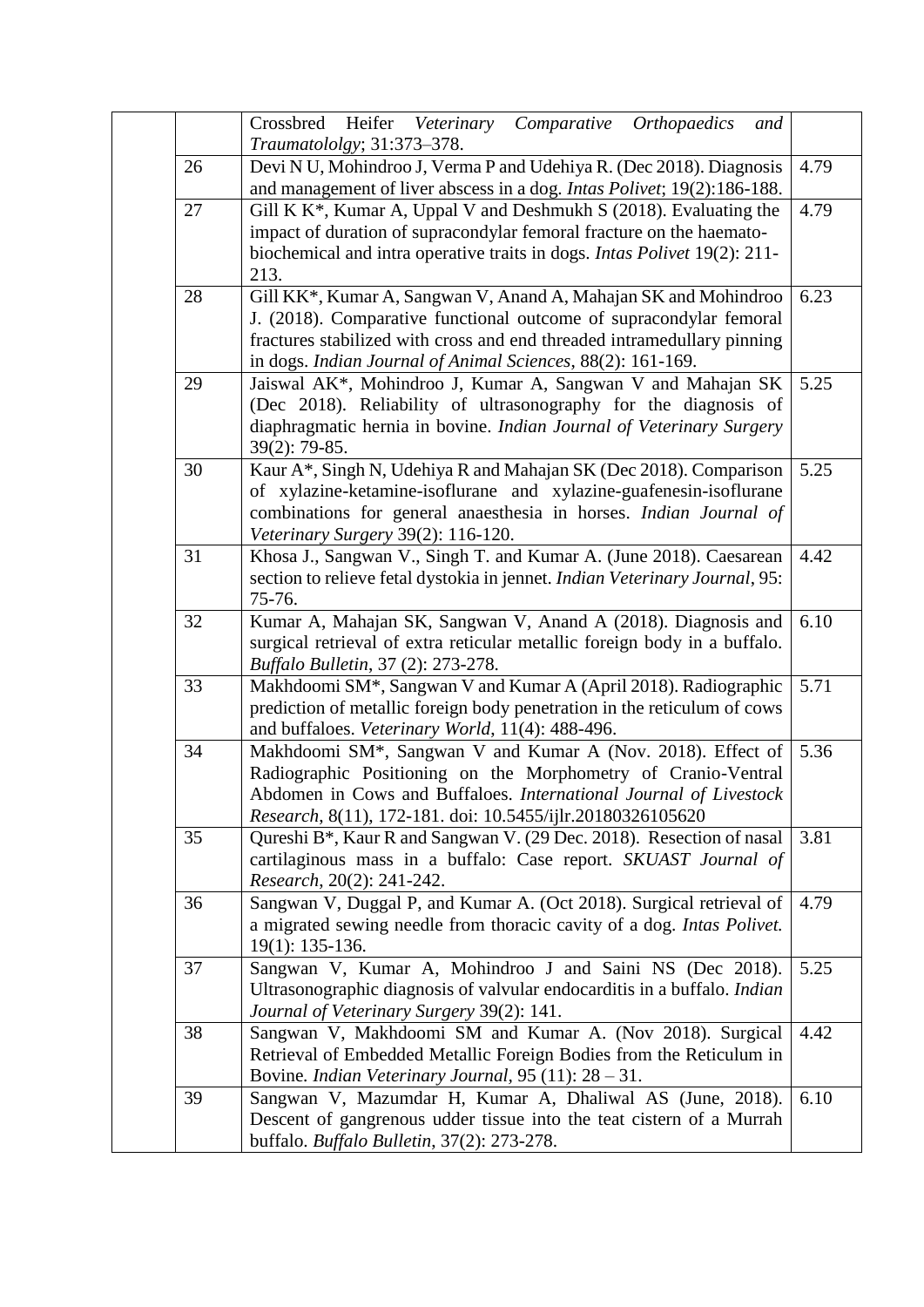|    | Crossbred Heifer Veterinary Comparative Orthopaedics<br>and                                                                                |      |
|----|--------------------------------------------------------------------------------------------------------------------------------------------|------|
|    | Traumatololgy; 31:373-378.                                                                                                                 |      |
| 26 | Devi N U, Mohindroo J, Verma P and Udehiya R. (Dec 2018). Diagnosis                                                                        | 4.79 |
|    | and management of liver abscess in a dog. Intas Polivet; 19(2):186-188.                                                                    |      |
| 27 | Gill K K <sup>*</sup> , Kumar A, Uppal V and Deshmukh S (2018). Evaluating the                                                             | 4.79 |
|    | impact of duration of supracondylar femoral fracture on the haemato-                                                                       |      |
|    | biochemical and intra operative traits in dogs. Intas Polivet 19(2): 211-                                                                  |      |
|    | 213.                                                                                                                                       |      |
| 28 | Gill KK*, Kumar A, Sangwan V, Anand A, Mahajan SK and Mohindroo<br>J. (2018). Comparative functional outcome of supracondylar femoral      | 6.23 |
|    | fractures stabilized with cross and end threaded intramedullary pinning                                                                    |      |
|    | in dogs. Indian Journal of Animal Sciences, 88(2): 161-169.                                                                                |      |
| 29 | Jaiswal AK*, Mohindroo J, Kumar A, Sangwan V and Mahajan SK                                                                                | 5.25 |
|    | (Dec 2018). Reliability of ultrasonography for the diagnosis of                                                                            |      |
|    | diaphragmatic hernia in bovine. Indian Journal of Veterinary Surgery                                                                       |      |
|    | 39(2): 79-85.                                                                                                                              |      |
| 30 | Kaur A*, Singh N, Udehiya R and Mahajan SK (Dec 2018). Comparison                                                                          | 5.25 |
|    | of xylazine-ketamine-isoflurane and xylazine-guafenesin-isoflurane                                                                         |      |
|    | combinations for general anaesthesia in horses. Indian Journal of                                                                          |      |
|    | Veterinary Surgery 39(2): 116-120.                                                                                                         |      |
| 31 | Khosa J., Sangwan V., Singh T. and Kumar A. (June 2018). Caesarean                                                                         | 4.42 |
|    | section to relieve fetal dystokia in jennet. Indian Veterinary Journal, 95:                                                                |      |
| 32 | 75-76.                                                                                                                                     | 6.10 |
|    | Kumar A, Mahajan SK, Sangwan V, Anand A (2018). Diagnosis and<br>surgical retrieval of extra reticular metallic foreign body in a buffalo. |      |
|    | Buffalo Bulletin, 37 (2): 273-278.                                                                                                         |      |
| 33 | Makhdoomi SM*, Sangwan V and Kumar A (April 2018). Radiographic                                                                            | 5.71 |
|    | prediction of metallic foreign body penetration in the reticulum of cows                                                                   |      |
|    | and buffaloes. Veterinary World, 11(4): 488-496.                                                                                           |      |
| 34 | Makhdoomi SM*, Sangwan V and Kumar A (Nov. 2018). Effect of                                                                                | 5.36 |
|    | Radiographic Positioning on the Morphometry of Cranio-Ventral                                                                              |      |
|    | Abdomen in Cows and Buffaloes. International Journal of Livestock                                                                          |      |
|    | Research, 8(11), 172-181. doi: 10.5455/ijlr.20180326105620                                                                                 |      |
| 35 | Qureshi B*, Kaur R and Sangwan V. (29 Dec. 2018). Resection of nasal                                                                       | 3.81 |
|    | cartilaginous mass in a buffalo: Case report. SKUAST Journal of                                                                            |      |
|    | Research, 20(2): 241-242.                                                                                                                  |      |
| 36 | Sangwan V, Duggal P, and Kumar A. (Oct 2018). Surgical retrieval of                                                                        | 4.79 |
|    | a migrated sewing needle from thoracic cavity of a dog. Intas Polivet.<br>19(1): 135-136.                                                  |      |
| 37 | Sangwan V, Kumar A, Mohindroo J and Saini NS (Dec 2018).                                                                                   | 5.25 |
|    | Ultrasonographic diagnosis of valvular endocarditis in a buffalo. Indian                                                                   |      |
|    | Journal of Veterinary Surgery 39(2): 141.                                                                                                  |      |
| 38 | Sangwan V, Makhdoomi SM and Kumar A. (Nov 2018). Surgical                                                                                  | 4.42 |
|    | Retrieval of Embedded Metallic Foreign Bodies from the Reticulum in                                                                        |      |
|    | Bovine. <i>Indian Veterinary Journal</i> , $95(11)$ : $28 - 31$ .                                                                          |      |
| 39 | Sangwan V, Mazumdar H, Kumar A, Dhaliwal AS (June, 2018).                                                                                  | 6.10 |
|    | Descent of gangrenous udder tissue into the teat cistern of a Murrah                                                                       |      |
|    | buffalo. Buffalo Bulletin, 37(2): 273-278.                                                                                                 |      |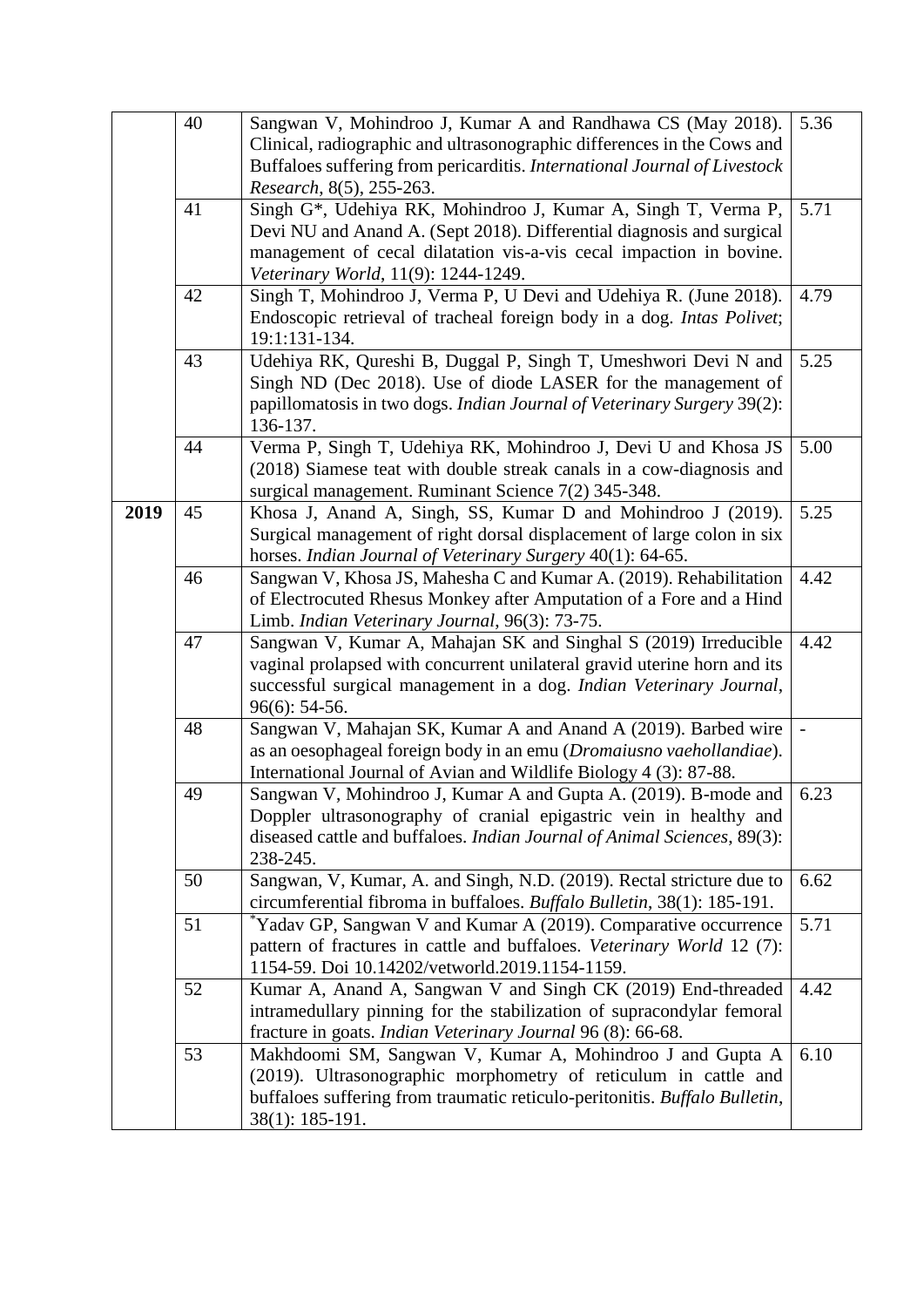|                                                                            | 40                                                                      | Sangwan V, Mohindroo J, Kumar A and Randhawa CS (May 2018).               | 5.36 |
|----------------------------------------------------------------------------|-------------------------------------------------------------------------|---------------------------------------------------------------------------|------|
|                                                                            | Clinical, radiographic and ultrasonographic differences in the Cows and |                                                                           |      |
|                                                                            |                                                                         | Buffaloes suffering from pericarditis. International Journal of Livestock |      |
|                                                                            |                                                                         | Research, 8(5), 255-263.                                                  |      |
|                                                                            | 41                                                                      | Singh G*, Udehiya RK, Mohindroo J, Kumar A, Singh T, Verma P,             | 5.71 |
|                                                                            |                                                                         | Devi NU and Anand A. (Sept 2018). Differential diagnosis and surgical     |      |
|                                                                            |                                                                         | management of cecal dilatation vis-a-vis cecal impaction in bovine.       |      |
|                                                                            |                                                                         | Veterinary World, 11(9): 1244-1249.                                       |      |
|                                                                            | Singh T, Mohindroo J, Verma P, U Devi and Udehiya R. (June 2018).<br>42 |                                                                           |      |
|                                                                            | Endoscopic retrieval of tracheal foreign body in a dog. Intas Polivet;  |                                                                           |      |
|                                                                            | 19:1:131-134.                                                           |                                                                           |      |
|                                                                            | 43                                                                      | Udehiya RK, Qureshi B, Duggal P, Singh T, Umeshwori Devi N and            | 5.25 |
|                                                                            |                                                                         | Singh ND (Dec 2018). Use of diode LASER for the management of             |      |
|                                                                            |                                                                         | papillomatosis in two dogs. Indian Journal of Veterinary Surgery 39(2):   |      |
|                                                                            |                                                                         | 136-137.                                                                  |      |
|                                                                            | 44                                                                      | Verma P, Singh T, Udehiya RK, Mohindroo J, Devi U and Khosa JS            | 5.00 |
|                                                                            |                                                                         | (2018) Siamese teat with double streak canals in a cow-diagnosis and      |      |
|                                                                            |                                                                         | surgical management. Ruminant Science 7(2) 345-348.                       |      |
| 2019                                                                       | 45                                                                      | Khosa J, Anand A, Singh, SS, Kumar D and Mohindroo J (2019).              | 5.25 |
|                                                                            |                                                                         | Surgical management of right dorsal displacement of large colon in six    |      |
|                                                                            |                                                                         | horses. Indian Journal of Veterinary Surgery 40(1): 64-65.                |      |
|                                                                            | 46                                                                      | Sangwan V, Khosa JS, Mahesha C and Kumar A. (2019). Rehabilitation        | 4.42 |
|                                                                            |                                                                         | of Electrocuted Rhesus Monkey after Amputation of a Fore and a Hind       |      |
|                                                                            |                                                                         | Limb. Indian Veterinary Journal, 96(3): 73-75.                            |      |
|                                                                            | 47                                                                      | Sangwan V, Kumar A, Mahajan SK and Singhal S (2019) Irreducible           | 4.42 |
|                                                                            |                                                                         | vaginal prolapsed with concurrent unilateral gravid uterine horn and its  |      |
|                                                                            | successful surgical management in a dog. Indian Veterinary Journal,     |                                                                           |      |
|                                                                            |                                                                         | $96(6)$ : 54-56.                                                          |      |
|                                                                            | 48                                                                      | Sangwan V, Mahajan SK, Kumar A and Anand A (2019). Barbed wire            |      |
|                                                                            |                                                                         | as an oesophageal foreign body in an emu (Dromaiusno vaehollandiae).      |      |
|                                                                            |                                                                         | International Journal of Avian and Wildlife Biology 4 (3): 87-88.         |      |
|                                                                            | 49                                                                      | Sangwan V, Mohindroo J, Kumar A and Gupta A. (2019). B-mode and           | 6.23 |
|                                                                            |                                                                         | Doppler ultrasonography of cranial epigastric vein in healthy and         |      |
|                                                                            |                                                                         | diseased cattle and buffaloes. Indian Journal of Animal Sciences, 89(3):  |      |
|                                                                            |                                                                         | 238-245.                                                                  |      |
|                                                                            | 50                                                                      | Sangwan, V, Kumar, A. and Singh, N.D. (2019). Rectal stricture due to     | 6.62 |
|                                                                            |                                                                         | circumferential fibroma in buffaloes. Buffalo Bulletin, 38(1): 185-191.   |      |
|                                                                            | 51                                                                      | *Yadav GP, Sangwan V and Kumar A (2019). Comparative occurrence           | 5.71 |
|                                                                            |                                                                         | pattern of fractures in cattle and buffaloes. Veterinary World 12 (7):    |      |
|                                                                            |                                                                         | 1154-59. Doi 10.14202/vetworld.2019.1154-1159.                            | 4.42 |
|                                                                            | 52<br>Kumar A, Anand A, Sangwan V and Singh CK (2019) End-threaded      |                                                                           |      |
|                                                                            | intramedullary pinning for the stabilization of supracondylar femoral   |                                                                           |      |
|                                                                            |                                                                         | fracture in goats. Indian Veterinary Journal 96 (8): 66-68.               |      |
|                                                                            | 53                                                                      | Makhdoomi SM, Sangwan V, Kumar A, Mohindroo J and Gupta A                 | 6.10 |
|                                                                            |                                                                         | (2019). Ultrasonographic morphometry of reticulum in cattle and           |      |
| buffaloes suffering from traumatic reticulo-peritonitis. Buffalo Bulletin, |                                                                         |                                                                           |      |
| 38(1): 185-191.                                                            |                                                                         |                                                                           |      |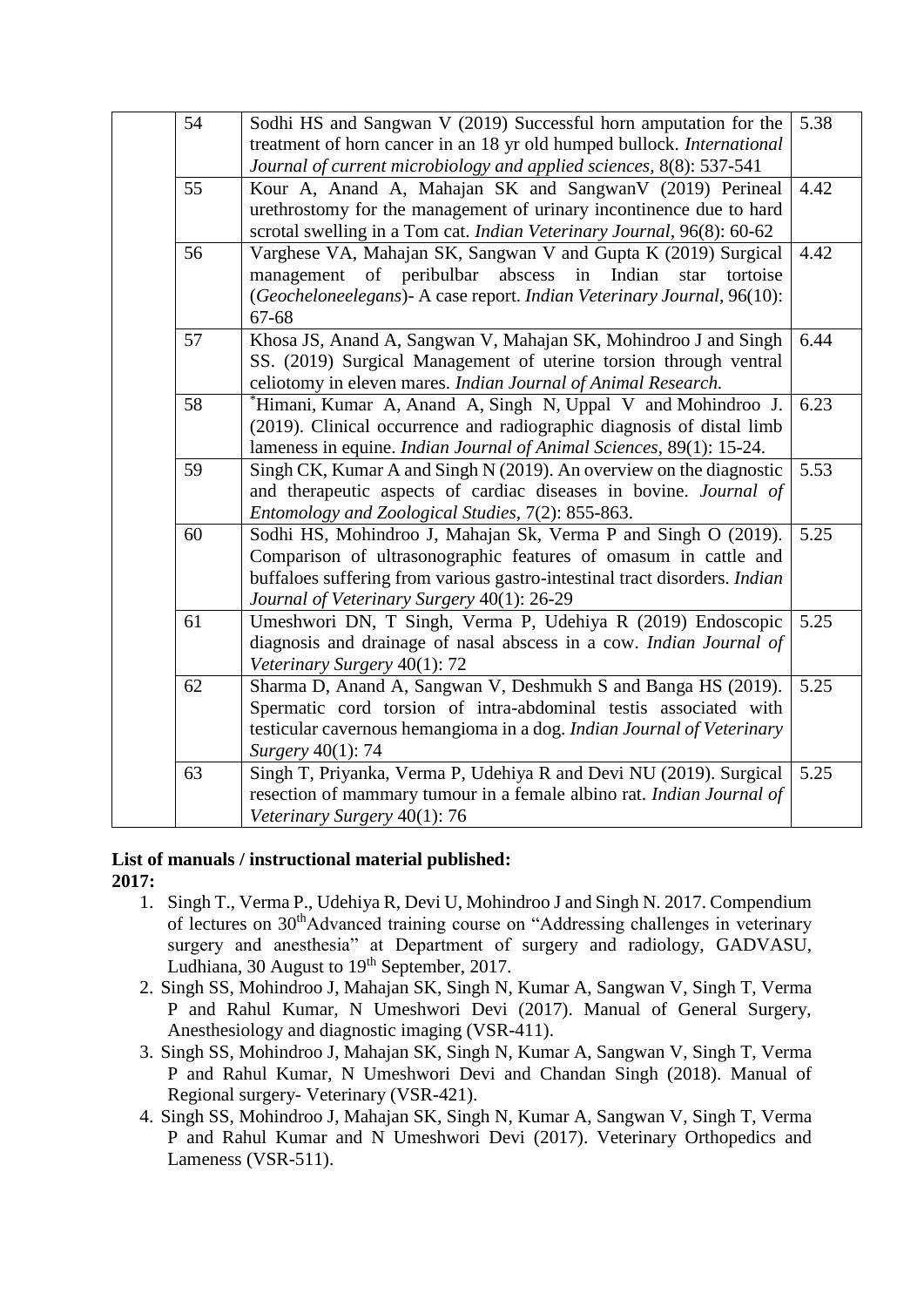| 54              | Sodhi HS and Sangwan V (2019) Successful horn amputation for the             | 5.38 |
|-----------------|------------------------------------------------------------------------------|------|
|                 | treatment of horn cancer in an 18 yr old humped bullock. International       |      |
|                 | Journal of current microbiology and applied sciences, 8(8): 537-541          |      |
| 55              | Kour A, Anand A, Mahajan SK and SangwanV (2019) Perineal                     | 4.42 |
|                 | urethrostomy for the management of urinary incontinence due to hard          |      |
|                 | scrotal swelling in a Tom cat. Indian Veterinary Journal, 96(8): 60-62       |      |
| 56              | Varghese VA, Mahajan SK, Sangwan V and Gupta K (2019) Surgical               | 4.42 |
|                 | of peribulbar<br>abscess<br>Indian<br>management<br>in<br>tortoise<br>star   |      |
|                 | (Geocheloneelegans)- A case report. Indian Veterinary Journal, 96(10):       |      |
|                 | 67-68                                                                        |      |
| 57              | Khosa JS, Anand A, Sangwan V, Mahajan SK, Mohindroo J and Singh              | 6.44 |
|                 | SS. (2019) Surgical Management of uterine torsion through ventral            |      |
|                 | celiotomy in eleven mares. Indian Journal of Animal Research.                |      |
| 58              | <sup>*</sup> Himani, Kumar A, Anand A, Singh N, Uppal V and Mohindroo J.     | 6.23 |
|                 | (2019). Clinical occurrence and radiographic diagnosis of distal limb        |      |
|                 | lameness in equine. <i>Indian Journal of Animal Sciences</i> , 89(1): 15-24. |      |
| $\overline{59}$ | Singh CK, Kumar A and Singh N (2019). An overview on the diagnostic          | 5.53 |
|                 | and therapeutic aspects of cardiac diseases in bovine. Journal of            |      |
|                 | Entomology and Zoological Studies, 7(2): 855-863.                            |      |
| 60              | Sodhi HS, Mohindroo J, Mahajan Sk, Verma P and Singh O (2019).               | 5.25 |
|                 | Comparison of ultrasonographic features of omasum in cattle and              |      |
|                 | buffaloes suffering from various gastro-intestinal tract disorders. Indian   |      |
|                 | Journal of Veterinary Surgery 40(1): 26-29                                   |      |
| 61              | Umeshwori DN, T Singh, Verma P, Udehiya R (2019) Endoscopic                  | 5.25 |
|                 | diagnosis and drainage of nasal abscess in a cow. Indian Journal of          |      |
|                 | Veterinary Surgery 40(1): 72                                                 |      |
| 62              | Sharma D, Anand A, Sangwan V, Deshmukh S and Banga HS (2019).                | 5.25 |
|                 | Spermatic cord torsion of intra-abdominal testis associated with             |      |
|                 | testicular cavernous hemangioma in a dog. Indian Journal of Veterinary       |      |
|                 | Surgery 40(1): 74                                                            |      |
| 63              | Singh T, Priyanka, Verma P, Udehiya R and Devi NU (2019). Surgical           | 5.25 |
|                 | resection of mammary tumour in a female albino rat. Indian Journal of        |      |
|                 | Veterinary Surgery 40(1): 76                                                 |      |

### **List of manuals / instructional material published: 2017:**

- 1. Singh T., Verma P., Udehiya R, Devi U, Mohindroo J and Singh N. 2017. Compendium of lectures on 30thAdvanced training course on "Addressing challenges in veterinary surgery and anesthesia" at Department of surgery and radiology, GADVASU, Ludhiana, 30 August to  $19<sup>th</sup>$  September, 2017.
- 2. Singh SS, Mohindroo J, Mahajan SK, Singh N, Kumar A, Sangwan V, Singh T, Verma P and Rahul Kumar, N Umeshwori Devi (2017). Manual of General Surgery, Anesthesiology and diagnostic imaging (VSR-411).
- 3. Singh SS, Mohindroo J, Mahajan SK, Singh N, Kumar A, Sangwan V, Singh T, Verma P and Rahul Kumar, N Umeshwori Devi and Chandan Singh (2018). Manual of Regional surgery- Veterinary (VSR-421).
- 4. Singh SS, Mohindroo J, Mahajan SK, Singh N, Kumar A, Sangwan V, Singh T, Verma P and Rahul Kumar and N Umeshwori Devi (2017). Veterinary Orthopedics and Lameness (VSR-511).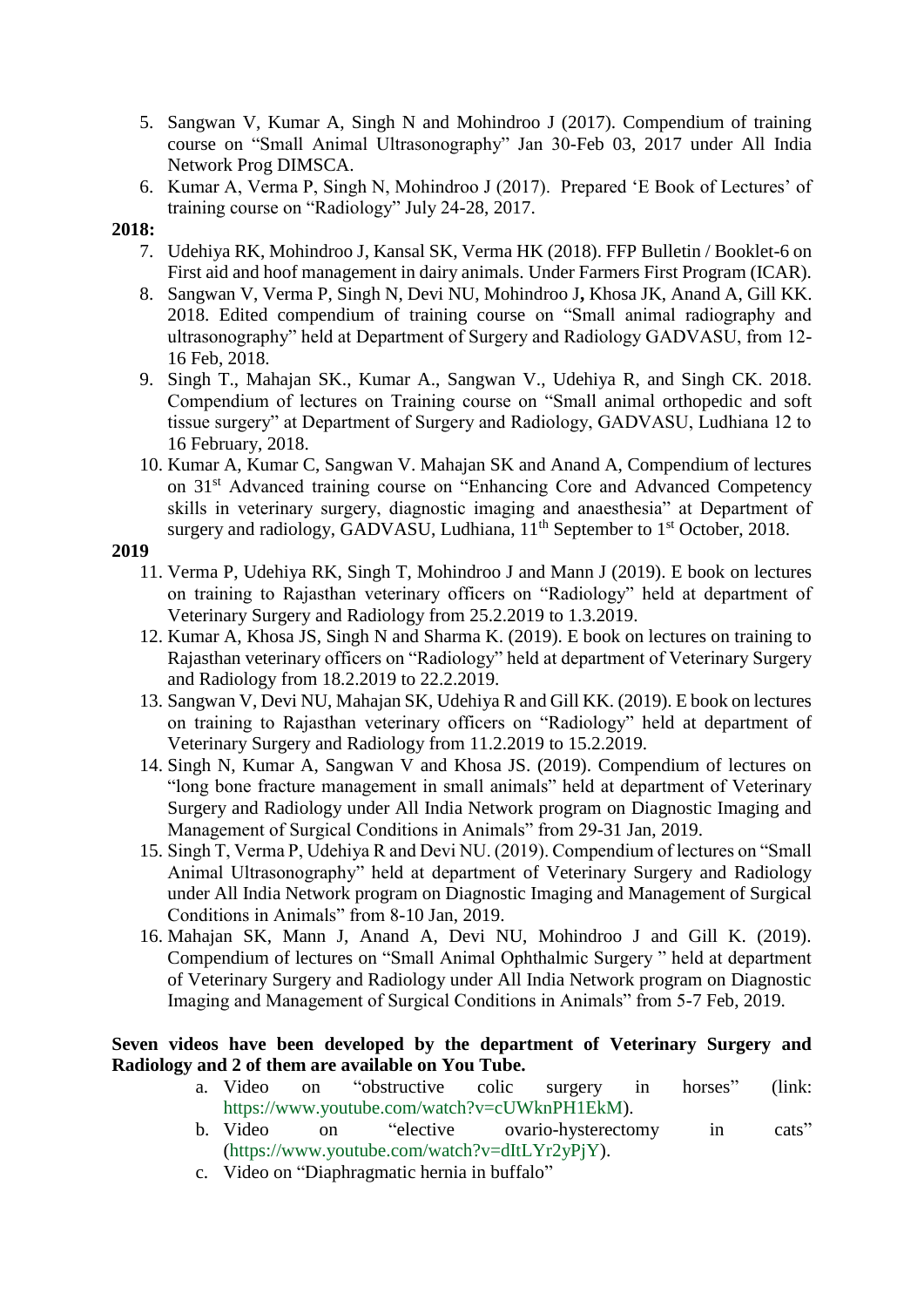- 5. Sangwan V, Kumar A, Singh N and Mohindroo J (2017). Compendium of training course on "Small Animal Ultrasonography" Jan 30-Feb 03, 2017 under All India Network Prog DIMSCA.
- 6. Kumar A, Verma P, Singh N, Mohindroo J (2017). Prepared 'E Book of Lectures' of training course on "Radiology" July 24-28, 2017.

### **2018:**

- 7. Udehiya RK, Mohindroo J, Kansal SK, Verma HK (2018). FFP Bulletin / Booklet-6 on First aid and hoof management in dairy animals. Under Farmers First Program (ICAR).
- 8. Sangwan V, Verma P, Singh N, Devi NU, Mohindroo J**,** Khosa JK, Anand A, Gill KK. 2018. Edited compendium of training course on "Small animal radiography and ultrasonography" held at Department of Surgery and Radiology GADVASU, from 12- 16 Feb, 2018.
- 9. Singh T., Mahajan SK., Kumar A., Sangwan V., Udehiya R, and Singh CK. 2018. Compendium of lectures on Training course on "Small animal orthopedic and soft tissue surgery" at Department of Surgery and Radiology, GADVASU, Ludhiana 12 to 16 February, 2018.
- 10. Kumar A, Kumar C, Sangwan V. Mahajan SK and Anand A, Compendium of lectures on 31st Advanced training course on "Enhancing Core and Advanced Competency skills in veterinary surgery, diagnostic imaging and anaesthesia" at Department of surgery and radiology, GADVASU, Ludhiana,  $11<sup>th</sup>$  September to  $1<sup>st</sup>$  October, 2018.

### **2019**

- 11. Verma P, Udehiya RK, Singh T, Mohindroo J and Mann J (2019). E book on lectures on training to Rajasthan veterinary officers on "Radiology" held at department of Veterinary Surgery and Radiology from 25.2.2019 to 1.3.2019.
- 12. Kumar A, Khosa JS, Singh N and Sharma K. (2019). E book on lectures on training to Rajasthan veterinary officers on "Radiology" held at department of Veterinary Surgery and Radiology from 18.2.2019 to 22.2.2019.
- 13. Sangwan V, Devi NU, Mahajan SK, Udehiya R and Gill KK. (2019). E book on lectures on training to Rajasthan veterinary officers on "Radiology" held at department of Veterinary Surgery and Radiology from 11.2.2019 to 15.2.2019.
- 14. Singh N, Kumar A, Sangwan V and Khosa JS. (2019). Compendium of lectures on "long bone fracture management in small animals" held at department of Veterinary Surgery and Radiology under All India Network program on Diagnostic Imaging and Management of Surgical Conditions in Animals" from 29-31 Jan, 2019.
- 15. Singh T, Verma P, Udehiya R and Devi NU. (2019). Compendium of lectures on "Small Animal Ultrasonography" held at department of Veterinary Surgery and Radiology under All India Network program on Diagnostic Imaging and Management of Surgical Conditions in Animals" from 8-10 Jan, 2019.
- 16. Mahajan SK, Mann J, Anand A, Devi NU, Mohindroo J and Gill K. (2019). Compendium of lectures on "Small Animal Ophthalmic Surgery " held at department of Veterinary Surgery and Radiology under All India Network program on Diagnostic Imaging and Management of Surgical Conditions in Animals" from 5-7 Feb, 2019.

### **Seven videos have been developed by the department of Veterinary Surgery and Radiology and 2 of them are available on You Tube.**

- a. Video on "obstructive colic surgery in horses" (link: https://www.youtube.com/watch?v=cUWknPH1EkM).
- b. Video on "elective ovario-hysterectomy in cats" (https://www.youtube.com/watch?v=dItLYr2yPjY).
- c. Video on "Diaphragmatic hernia in buffalo"